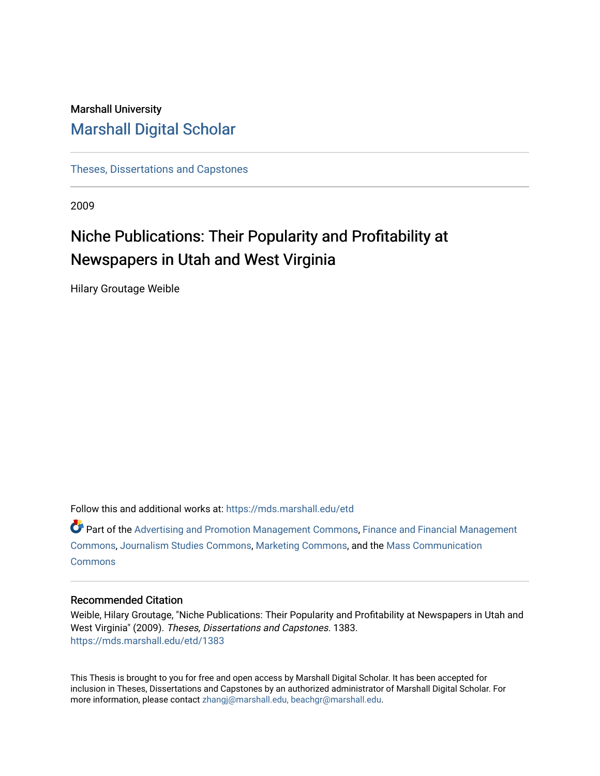# Marshall University [Marshall Digital Scholar](https://mds.marshall.edu/)

[Theses, Dissertations and Capstones](https://mds.marshall.edu/etd)

2009

# Niche Publications: Their Popularity and Profitability at Newspapers in Utah and West Virginia

Hilary Groutage Weible

Follow this and additional works at: [https://mds.marshall.edu/etd](https://mds.marshall.edu/etd?utm_source=mds.marshall.edu%2Fetd%2F1383&utm_medium=PDF&utm_campaign=PDFCoverPages)

Part of the [Advertising and Promotion Management Commons,](http://network.bepress.com/hgg/discipline/626?utm_source=mds.marshall.edu%2Fetd%2F1383&utm_medium=PDF&utm_campaign=PDFCoverPages) [Finance and Financial Management](http://network.bepress.com/hgg/discipline/631?utm_source=mds.marshall.edu%2Fetd%2F1383&utm_medium=PDF&utm_campaign=PDFCoverPages)  [Commons](http://network.bepress.com/hgg/discipline/631?utm_source=mds.marshall.edu%2Fetd%2F1383&utm_medium=PDF&utm_campaign=PDFCoverPages), [Journalism Studies Commons,](http://network.bepress.com/hgg/discipline/333?utm_source=mds.marshall.edu%2Fetd%2F1383&utm_medium=PDF&utm_campaign=PDFCoverPages) [Marketing Commons](http://network.bepress.com/hgg/discipline/638?utm_source=mds.marshall.edu%2Fetd%2F1383&utm_medium=PDF&utm_campaign=PDFCoverPages), and the [Mass Communication](http://network.bepress.com/hgg/discipline/334?utm_source=mds.marshall.edu%2Fetd%2F1383&utm_medium=PDF&utm_campaign=PDFCoverPages) **[Commons](http://network.bepress.com/hgg/discipline/334?utm_source=mds.marshall.edu%2Fetd%2F1383&utm_medium=PDF&utm_campaign=PDFCoverPages)** 

## Recommended Citation

Weible, Hilary Groutage, "Niche Publications: Their Popularity and Profitability at Newspapers in Utah and West Virginia" (2009). Theses, Dissertations and Capstones. 1383. [https://mds.marshall.edu/etd/1383](https://mds.marshall.edu/etd/1383?utm_source=mds.marshall.edu%2Fetd%2F1383&utm_medium=PDF&utm_campaign=PDFCoverPages) 

This Thesis is brought to you for free and open access by Marshall Digital Scholar. It has been accepted for inclusion in Theses, Dissertations and Capstones by an authorized administrator of Marshall Digital Scholar. For more information, please contact [zhangj@marshall.edu, beachgr@marshall.edu](mailto:zhangj@marshall.edu,%20beachgr@marshall.edu).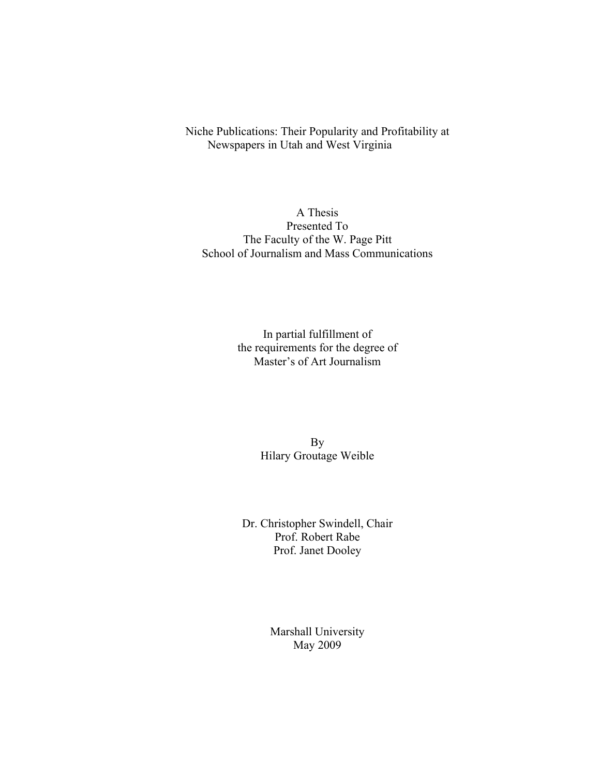Niche Publications: Their Popularity and Profitability at Newspapers in Utah and West Virginia

A Thesis Presented To The Faculty of the W. Page Pitt School of Journalism and Mass Communications

> In partial fulfillment of the requirements for the degree of Master's of Art Journalism

> > By Hilary Groutage Weible

Dr. Christopher Swindell, Chair Prof. Robert Rabe Prof. Janet Dooley

> Marshall University May 2009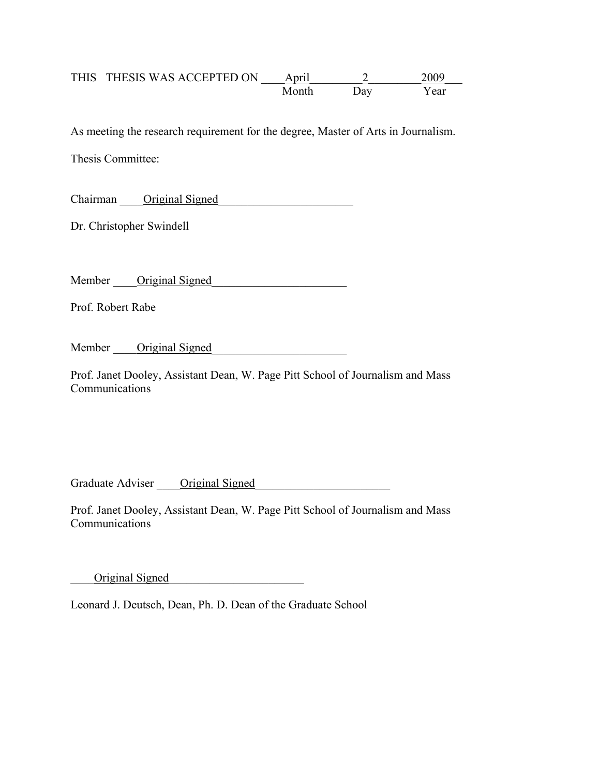## THIS THESIS WAS ACCEPTED ON <u>April 2 2009</u> Month Day Year

As meeting the research requirement for the degree, Master of Arts in Journalism.

Thesis Committee:

Chairman — Original Signed

Dr. Christopher Swindell

Member \_\_\_\_Original Signed\_\_\_\_\_\_\_\_\_\_\_\_\_\_\_\_\_\_\_\_\_\_\_

Prof. Robert Rabe

Member Original Signed

Prof. Janet Dooley, Assistant Dean, W. Page Pitt School of Journalism and Mass Communications

Graduate Adviser Criginal Signed

Prof. Janet Dooley, Assistant Dean, W. Page Pitt School of Journalism and Mass Communications

Original Signed

Leonard J. Deutsch, Dean, Ph. D. Dean of the Graduate School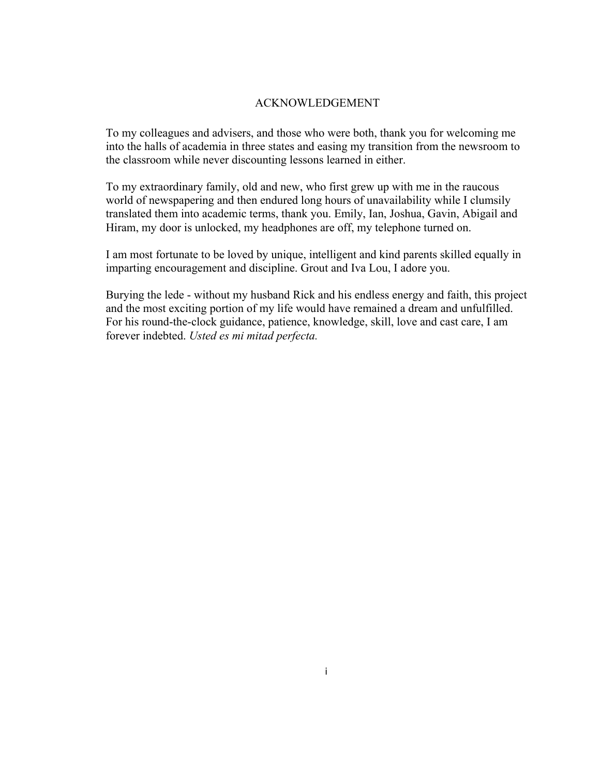#### ACKNOWLEDGEMENT

<span id="page-3-0"></span>To my colleagues and advisers, and those who were both, thank you for welcoming me into the halls of academia in three states and easing my transition from the newsroom to the classroom while never discounting lessons learned in either.

To my extraordinary family, old and new, who first grew up with me in the raucous world of newspapering and then endured long hours of unavailability while I clumsily translated them into academic terms, thank you. Emily, Ian, Joshua, Gavin, Abigail and Hiram, my door is unlocked, my headphones are off, my telephone turned on.

I am most fortunate to be loved by unique, intelligent and kind parents skilled equally in imparting encouragement and discipline. Grout and Iva Lou, I adore you.

Burying the lede - without my husband Rick and his endless energy and faith, this project and the most exciting portion of my life would have remained a dream and unfulfilled. For his round-the-clock guidance, patience, knowledge, skill, love and cast care, I am forever indebted. *Usted es mi mitad perfecta.*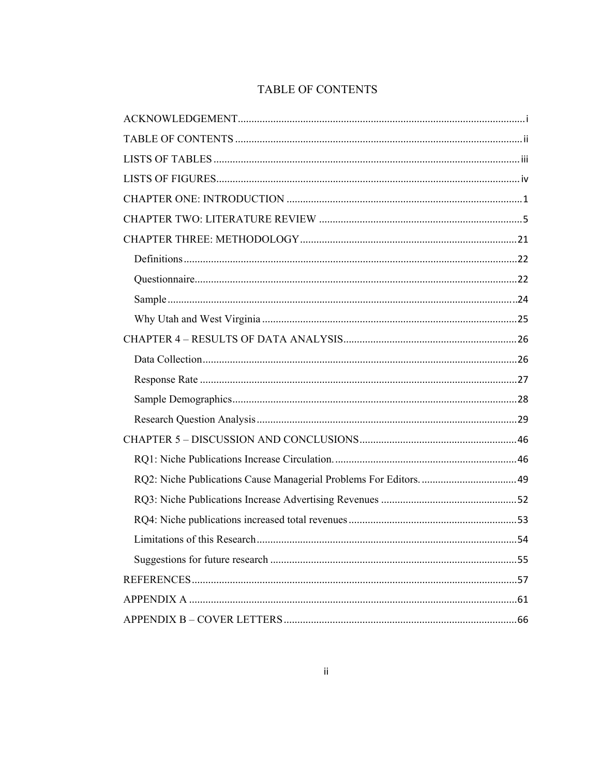# TABLE OF CONTENTS

<span id="page-4-0"></span>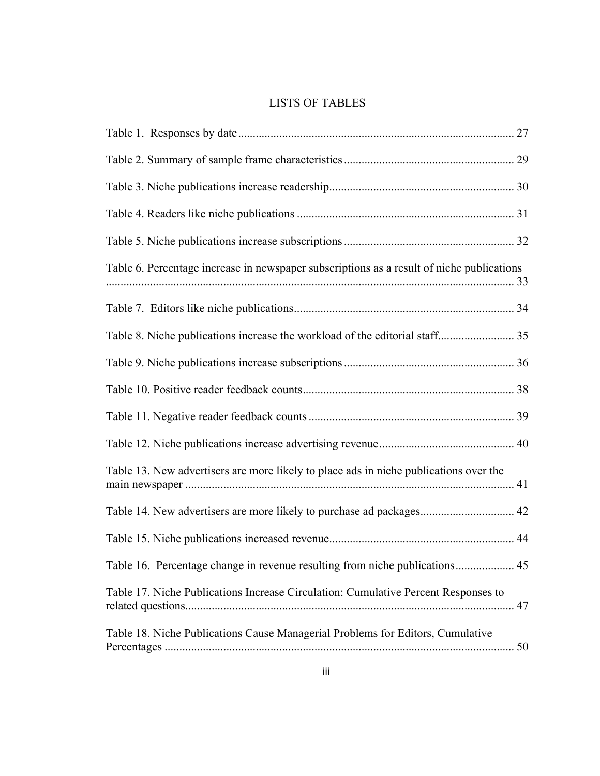## LISTS OF TABLES

<span id="page-5-0"></span>

| Table 6. Percentage increase in newspaper subscriptions as a result of niche publications |  |
|-------------------------------------------------------------------------------------------|--|
|                                                                                           |  |
|                                                                                           |  |
|                                                                                           |  |
|                                                                                           |  |
|                                                                                           |  |
|                                                                                           |  |
| Table 13. New advertisers are more likely to place ads in niche publications over the     |  |
| Table 14. New advertisers are more likely to purchase ad packages 42                      |  |
|                                                                                           |  |
| Table 16. Percentage change in revenue resulting from niche publications 45               |  |
| Table 17. Niche Publications Increase Circulation: Cumulative Percent Responses to        |  |
| Table 18. Niche Publications Cause Managerial Problems for Editors, Cumulative            |  |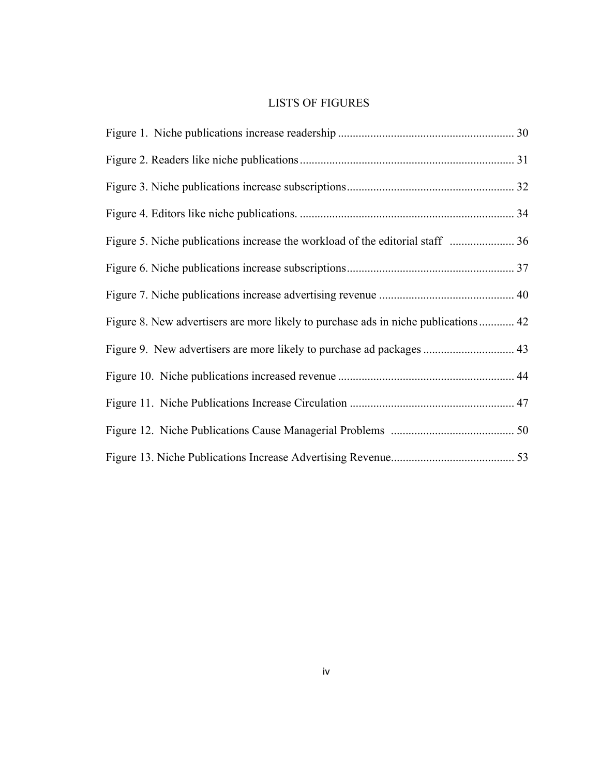## LISTS OF FIGURES

<span id="page-6-0"></span>

| Figure 8. New advertisers are more likely to purchase ads in niche publications 42 |  |
|------------------------------------------------------------------------------------|--|
|                                                                                    |  |
|                                                                                    |  |
|                                                                                    |  |
|                                                                                    |  |
|                                                                                    |  |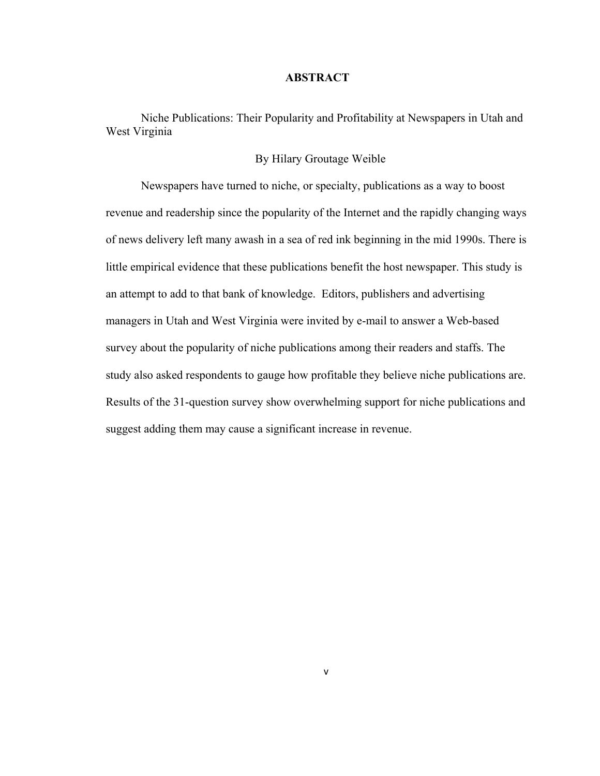#### **ABSTRACT**

Niche Publications: Their Popularity and Profitability at Newspapers in Utah and West Virginia

### By Hilary Groutage Weible

Newspapers have turned to niche, or specialty, publications as a way to boost revenue and readership since the popularity of the Internet and the rapidly changing ways of news delivery left many awash in a sea of red ink beginning in the mid 1990s. There is little empirical evidence that these publications benefit the host newspaper. This study is an attempt to add to that bank of knowledge. Editors, publishers and advertising managers in Utah and West Virginia were invited by e-mail to answer a Web-based survey about the popularity of niche publications among their readers and staffs. The study also asked respondents to gauge how profitable they believe niche publications are. Results of the 31-question survey show overwhelming support for niche publications and suggest adding them may cause a significant increase in revenue.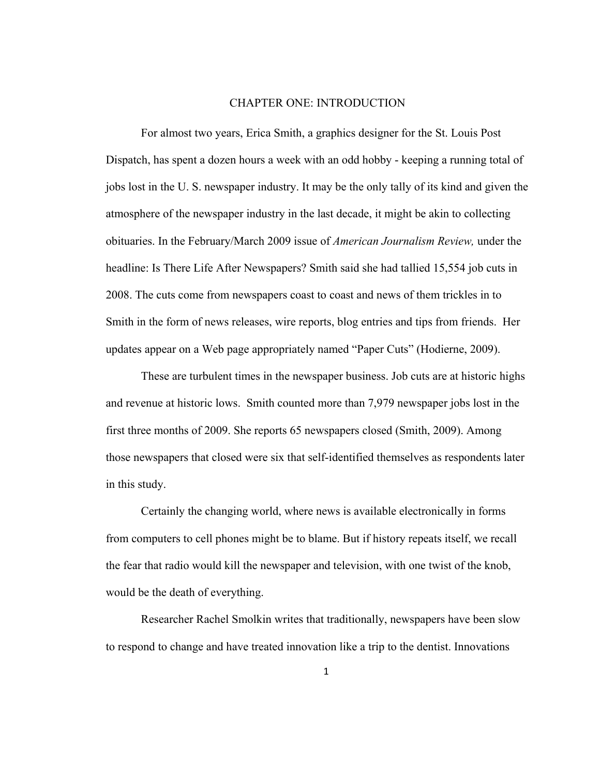#### CHAPTER ONE: INTRODUCTION

<span id="page-8-0"></span>For almost two years, Erica Smith, a graphics designer for the St. Louis Post Dispatch, has spent a dozen hours a week with an odd hobby - keeping a running total of jobs lost in the U. S. newspaper industry. It may be the only tally of its kind and given the atmosphere of the newspaper industry in the last decade, it might be akin to collecting obituaries. In the February/March 2009 issue of *American Journalism Review,* under the headline: Is There Life After Newspapers? Smith said she had tallied 15,554 job cuts in 2008. The cuts come from newspapers coast to coast and news of them trickles in to Smith in the form of news releases, wire reports, blog entries and tips from friends. Her updates appear on a Web page appropriately named "Paper Cuts" (Hodierne, 2009).

 These are turbulent times in the newspaper business. Job cuts are at historic highs and revenue at historic lows. Smith counted more than 7,979 newspaper jobs lost in the first three months of 2009. She reports 65 newspapers closed (Smith, 2009). Among those newspapers that closed were six that self-identified themselves as respondents later in this study.

 Certainly the changing world, where news is available electronically in forms from computers to cell phones might be to blame. But if history repeats itself, we recall the fear that radio would kill the newspaper and television, with one twist of the knob, would be the death of everything.

Researcher Rachel Smolkin writes that traditionally, newspapers have been slow to respond to change and have treated innovation like a trip to the dentist. Innovations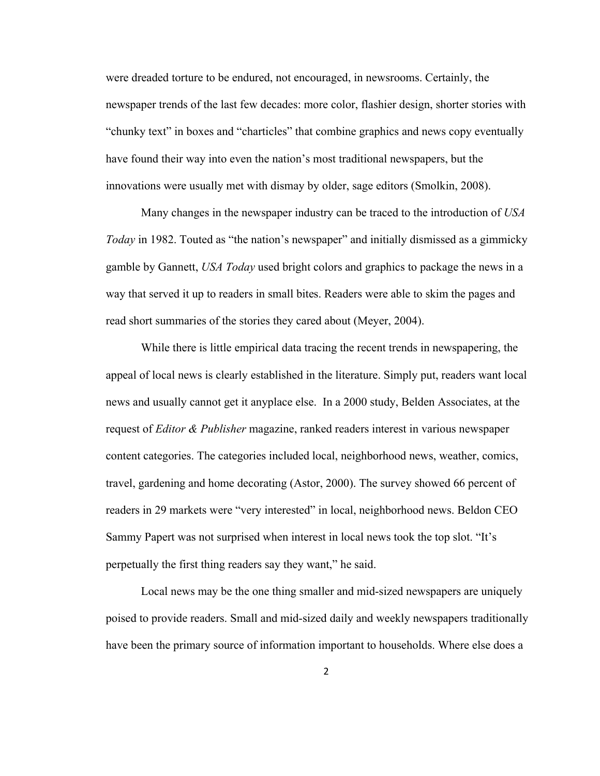were dreaded torture to be endured, not encouraged, in newsrooms. Certainly, the newspaper trends of the last few decades: more color, flashier design, shorter stories with "chunky text" in boxes and "charticles" that combine graphics and news copy eventually have found their way into even the nation's most traditional newspapers, but the innovations were usually met with dismay by older, sage editors (Smolkin, 2008).

Many changes in the newspaper industry can be traced to the introduction of *USA Today* in 1982. Touted as "the nation's newspaper" and initially dismissed as a gimmicky gamble by Gannett, *USA Today* used bright colors and graphics to package the news in a way that served it up to readers in small bites. Readers were able to skim the pages and read short summaries of the stories they cared about (Meyer, 2004).

While there is little empirical data tracing the recent trends in newspapering, the appeal of local news is clearly established in the literature. Simply put, readers want local news and usually cannot get it anyplace else. In a 2000 study, Belden Associates, at the request of *Editor & Publisher* magazine, ranked readers interest in various newspaper content categories. The categories included local, neighborhood news, weather, comics, travel, gardening and home decorating (Astor, 2000). The survey showed 66 percent of readers in 29 markets were "very interested" in local, neighborhood news. Beldon CEO Sammy Papert was not surprised when interest in local news took the top slot. "It's perpetually the first thing readers say they want," he said.

 Local news may be the one thing smaller and mid-sized newspapers are uniquely poised to provide readers. Small and mid-sized daily and weekly newspapers traditionally have been the primary source of information important to households. Where else does a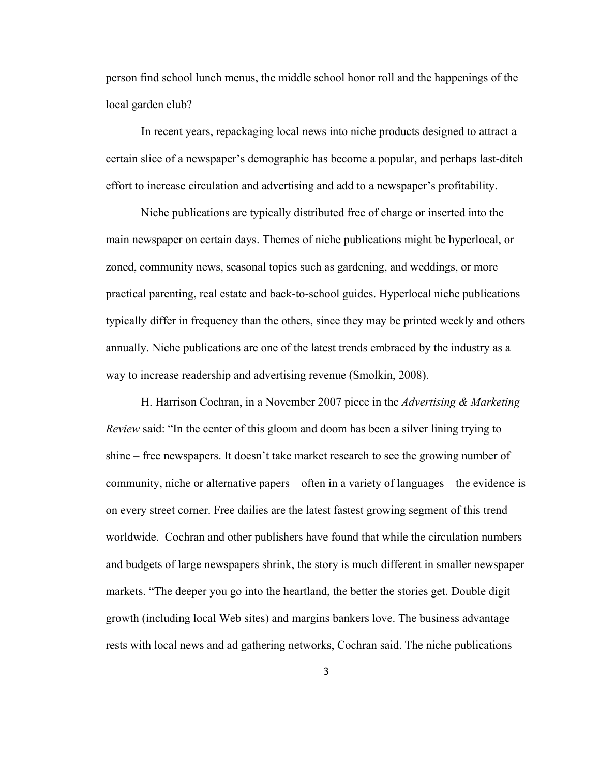person find school lunch menus, the middle school honor roll and the happenings of the local garden club?

In recent years, repackaging local news into niche products designed to attract a certain slice of a newspaper's demographic has become a popular, and perhaps last-ditch effort to increase circulation and advertising and add to a newspaper's profitability.

Niche publications are typically distributed free of charge or inserted into the main newspaper on certain days. Themes of niche publications might be hyperlocal, or zoned, community news, seasonal topics such as gardening, and weddings, or more practical parenting, real estate and back-to-school guides. Hyperlocal niche publications typically differ in frequency than the others, since they may be printed weekly and others annually. Niche publications are one of the latest trends embraced by the industry as a way to increase readership and advertising revenue (Smolkin, 2008).

H. Harrison Cochran, in a November 2007 piece in the *Advertising & Marketing Review* said: "In the center of this gloom and doom has been a silver lining trying to shine – free newspapers. It doesn't take market research to see the growing number of community, niche or alternative papers – often in a variety of languages – the evidence is on every street corner. Free dailies are the latest fastest growing segment of this trend worldwide. Cochran and other publishers have found that while the circulation numbers and budgets of large newspapers shrink, the story is much different in smaller newspaper markets. "The deeper you go into the heartland, the better the stories get. Double digit growth (including local Web sites) and margins bankers love. The business advantage rests with local news and ad gathering networks, Cochran said. The niche publications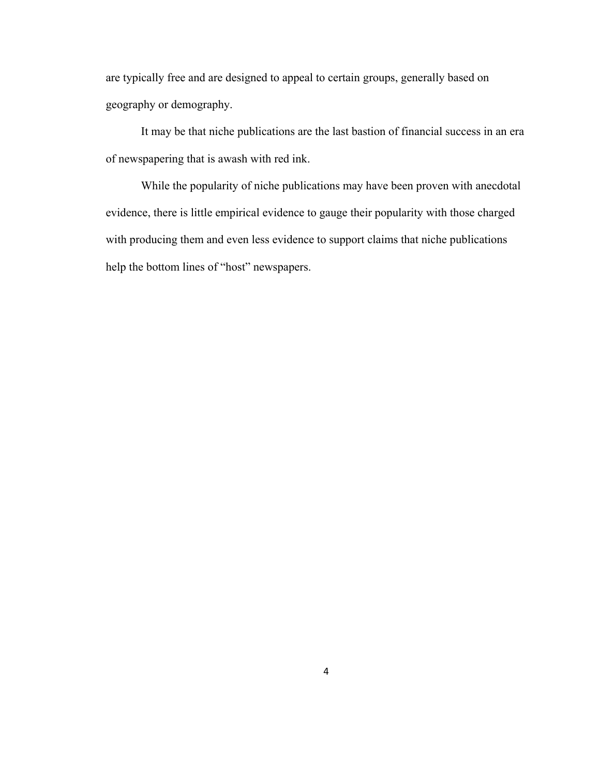are typically free and are designed to appeal to certain groups, generally based on geography or demography.

It may be that niche publications are the last bastion of financial success in an era of newspapering that is awash with red ink.

While the popularity of niche publications may have been proven with anecdotal evidence, there is little empirical evidence to gauge their popularity with those charged with producing them and even less evidence to support claims that niche publications help the bottom lines of "host" newspapers.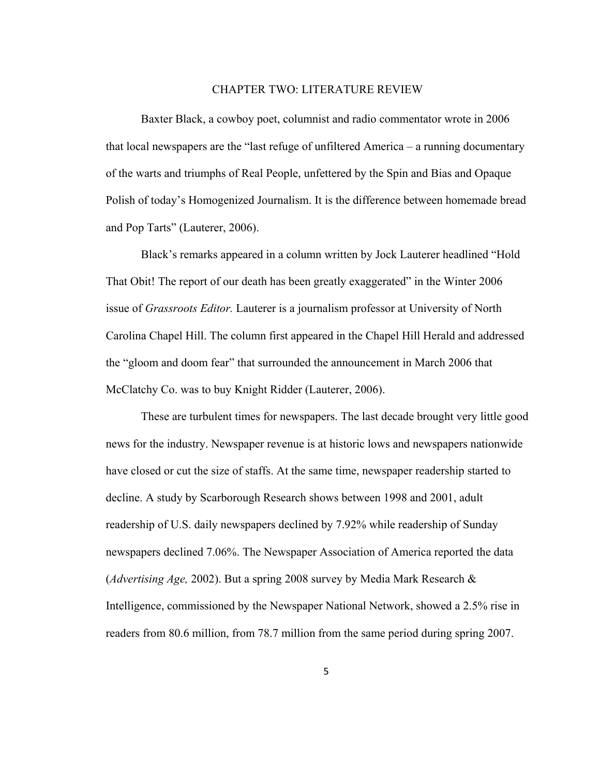#### CHAPTER TWO: LITERATURE REVIEW

<span id="page-12-0"></span>Baxter Black, a cowboy poet, columnist and radio commentator wrote in 2006 that local newspapers are the "last refuge of unfiltered America – a running documentary of the warts and triumphs of Real People, unfettered by the Spin and Bias and Opaque Polish of today's Homogenized Journalism. It is the difference between homemade bread and Pop Tarts" (Lauterer, 2006).

Black's remarks appeared in a column written by Jock Lauterer headlined "Hold That Obit! The report of our death has been greatly exaggerated" in the Winter 2006 issue of *Grassroots Editor.* Lauterer is a journalism professor at University of North Carolina Chapel Hill. The column first appeared in the Chapel Hill Herald and addressed the "gloom and doom fear" that surrounded the announcement in March 2006 that McClatchy Co. was to buy Knight Ridder (Lauterer, 2006).

These are turbulent times for newspapers. The last decade brought very little good news for the industry. Newspaper revenue is at historic lows and newspapers nationwide have closed or cut the size of staffs. At the same time, newspaper readership started to decline. A study by Scarborough Research shows between 1998 and 2001, adult readership of U.S. daily newspapers declined by 7.92% while readership of Sunday newspapers declined 7.06%. The Newspaper Association of America reported the data (*Advertising Age,* 2002). But a spring 2008 survey by Media Mark Research & Intelligence, commissioned by the Newspaper National Network, showed a 2.5% rise in readers from 80.6 million, from 78.7 million from the same period during spring 2007.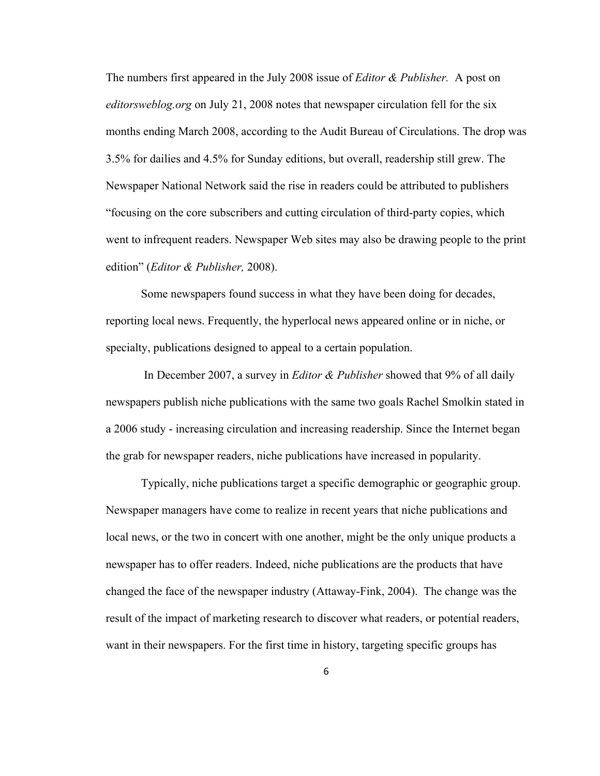The numbers first appeared in the July 2008 issue of *Editor & Publisher.* A post on *editorsweblog.org* on July 21, 2008 notes that newspaper circulation fell for the six months ending March 2008, according to the Audit Bureau of Circulations. The drop was 3.5% for dailies and 4.5% for Sunday editions, but overall, readership still grew. The Newspaper National Network said the rise in readers could be attributed to publishers "focusing on the core subscribers and cutting circulation of third-party copies, which went to infrequent readers. Newspaper Web sites may also be drawing people to the print edition" (*Editor & Publisher,* 2008).

Some newspapers found success in what they have been doing for decades, reporting local news. Frequently, the hyperlocal news appeared online or in niche, or specialty, publications designed to appeal to a certain population.

 In December 2007, a survey in *Editor & Publisher* showed that 9% of all daily newspapers publish niche publications with the same two goals Rachel Smolkin stated in a 2006 study - increasing circulation and increasing readership. Since the Internet began the grab for newspaper readers, niche publications have increased in popularity.

Typically, niche publications target a specific demographic or geographic group. Newspaper managers have come to realize in recent years that niche publications and local news, or the two in concert with one another, might be the only unique products a newspaper has to offer readers. Indeed, niche publications are the products that have changed the face of the newspaper industry (Attaway-Fink, 2004). The change was the result of the impact of marketing research to discover what readers, or potential readers, want in their newspapers. For the first time in history, targeting specific groups has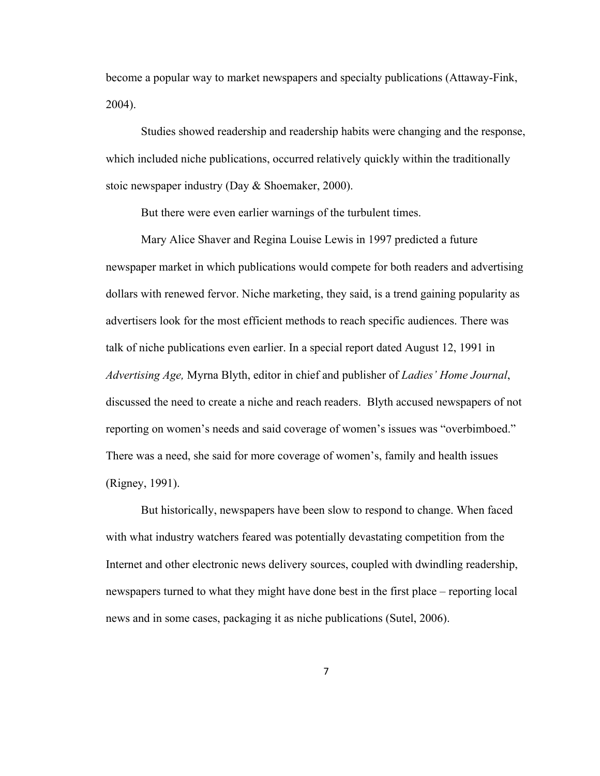become a popular way to market newspapers and specialty publications (Attaway-Fink, 2004).

 Studies showed readership and readership habits were changing and the response, which included niche publications, occurred relatively quickly within the traditionally stoic newspaper industry (Day & Shoemaker, 2000).

But there were even earlier warnings of the turbulent times.

 Mary Alice Shaver and Regina Louise Lewis in 1997 predicted a future newspaper market in which publications would compete for both readers and advertising dollars with renewed fervor. Niche marketing, they said, is a trend gaining popularity as advertisers look for the most efficient methods to reach specific audiences. There was talk of niche publications even earlier. In a special report dated August 12, 1991 in *Advertising Age,* Myrna Blyth, editor in chief and publisher of *Ladies' Home Journal*, discussed the need to create a niche and reach readers. Blyth accused newspapers of not reporting on women's needs and said coverage of women's issues was "overbimboed." There was a need, she said for more coverage of women's, family and health issues (Rigney, 1991).

But historically, newspapers have been slow to respond to change. When faced with what industry watchers feared was potentially devastating competition from the Internet and other electronic news delivery sources, coupled with dwindling readership, newspapers turned to what they might have done best in the first place – reporting local news and in some cases, packaging it as niche publications (Sutel, 2006).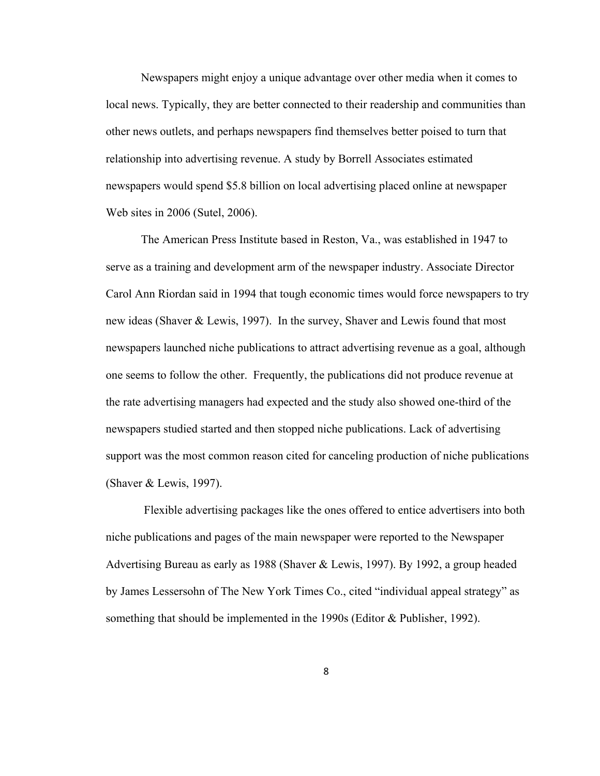Newspapers might enjoy a unique advantage over other media when it comes to local news. Typically, they are better connected to their readership and communities than other news outlets, and perhaps newspapers find themselves better poised to turn that relationship into advertising revenue. A study by Borrell Associates estimated newspapers would spend \$5.8 billion on local advertising placed online at newspaper Web sites in 2006 (Sutel, 2006).

 The American Press Institute based in Reston, Va., was established in 1947 to serve as a training and development arm of the newspaper industry. Associate Director Carol Ann Riordan said in 1994 that tough economic times would force newspapers to try new ideas (Shaver & Lewis, 1997). In the survey, Shaver and Lewis found that most newspapers launched niche publications to attract advertising revenue as a goal, although one seems to follow the other. Frequently, the publications did not produce revenue at the rate advertising managers had expected and the study also showed one-third of the newspapers studied started and then stopped niche publications. Lack of advertising support was the most common reason cited for canceling production of niche publications (Shaver & Lewis, 1997).

 Flexible advertising packages like the ones offered to entice advertisers into both niche publications and pages of the main newspaper were reported to the Newspaper Advertising Bureau as early as 1988 (Shaver & Lewis, 1997). By 1992, a group headed by James Lessersohn of The New York Times Co., cited "individual appeal strategy" as something that should be implemented in the 1990s (Editor & Publisher, 1992).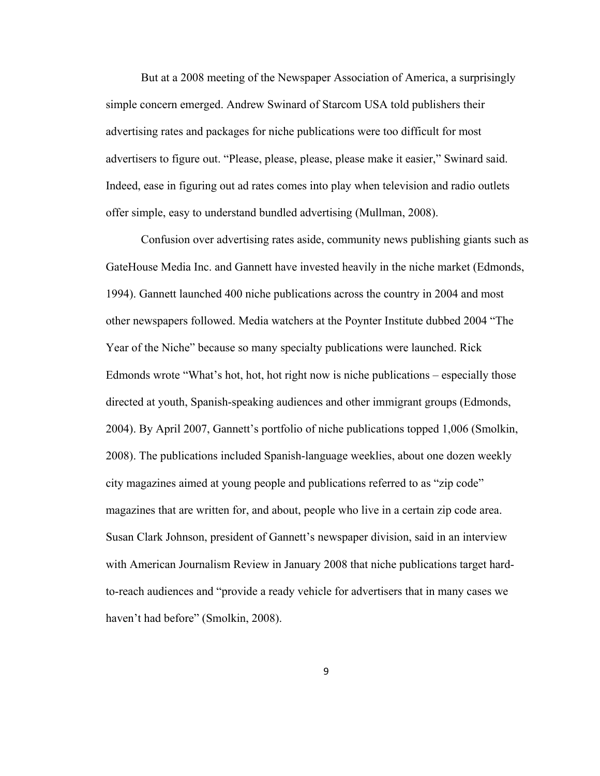But at a 2008 meeting of the Newspaper Association of America, a surprisingly simple concern emerged. Andrew Swinard of Starcom USA told publishers their advertising rates and packages for niche publications were too difficult for most advertisers to figure out. "Please, please, please, please make it easier," Swinard said. Indeed, ease in figuring out ad rates comes into play when television and radio outlets offer simple, easy to understand bundled advertising (Mullman, 2008).

 Confusion over advertising rates aside, community news publishing giants such as GateHouse Media Inc. and Gannett have invested heavily in the niche market (Edmonds, 1994). Gannett launched 400 niche publications across the country in 2004 and most other newspapers followed. Media watchers at the Poynter Institute dubbed 2004 "The Year of the Niche" because so many specialty publications were launched. Rick Edmonds wrote "What's hot, hot, hot right now is niche publications – especially those directed at youth, Spanish-speaking audiences and other immigrant groups (Edmonds, 2004). By April 2007, Gannett's portfolio of niche publications topped 1,006 (Smolkin, 2008). The publications included Spanish-language weeklies, about one dozen weekly city magazines aimed at young people and publications referred to as "zip code" magazines that are written for, and about, people who live in a certain zip code area. Susan Clark Johnson, president of Gannett's newspaper division, said in an interview with American Journalism Review in January 2008 that niche publications target hardto-reach audiences and "provide a ready vehicle for advertisers that in many cases we haven't had before" (Smolkin, 2008).

9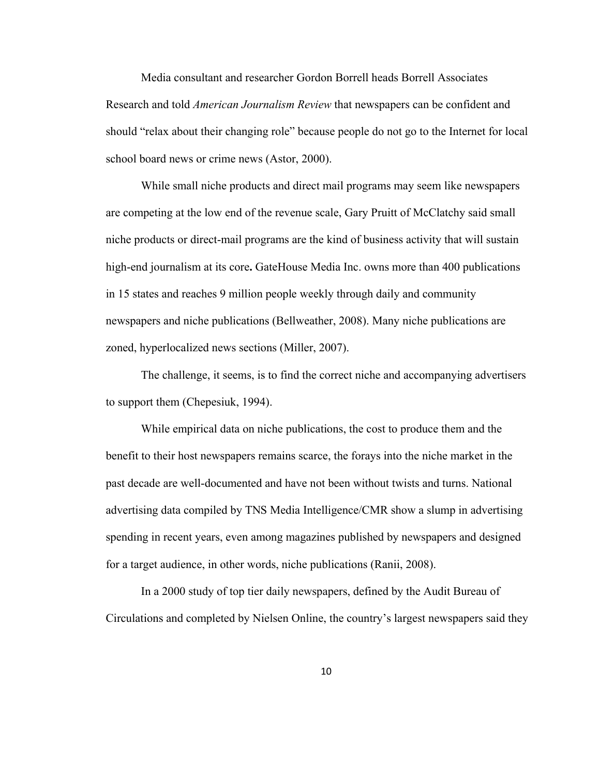Media consultant and researcher Gordon Borrell heads Borrell Associates Research and told *American Journalism Review* that newspapers can be confident and should "relax about their changing role" because people do not go to the Internet for local school board news or crime news (Astor, 2000).

 While small niche products and direct mail programs may seem like newspapers are competing at the low end of the revenue scale, Gary Pruitt of McClatchy said small niche products or direct-mail programs are the kind of business activity that will sustain high-end journalism at its core**.** GateHouse Media Inc. owns more than 400 publications in 15 states and reaches 9 million people weekly through daily and community newspapers and niche publications (Bellweather, 2008). Many niche publications are zoned, hyperlocalized news sections (Miller, 2007).

 The challenge, it seems, is to find the correct niche and accompanying advertisers to support them (Chepesiuk, 1994).

 While empirical data on niche publications, the cost to produce them and the benefit to their host newspapers remains scarce, the forays into the niche market in the past decade are well-documented and have not been without twists and turns. National advertising data compiled by TNS Media Intelligence/CMR show a slump in advertising spending in recent years, even among magazines published by newspapers and designed for a target audience, in other words, niche publications (Ranii, 2008).

 In a 2000 study of top tier daily newspapers, defined by the Audit Bureau of Circulations and completed by Nielsen Online, the country's largest newspapers said they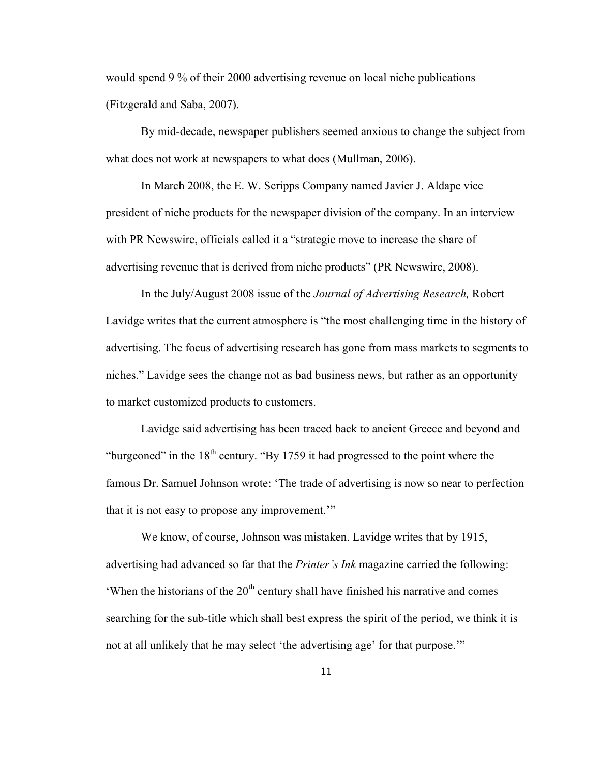would spend 9 % of their 2000 advertising revenue on local niche publications (Fitzgerald and Saba, 2007).

 By mid-decade, newspaper publishers seemed anxious to change the subject from what does not work at newspapers to what does (Mullman, 2006).

In March 2008, the E. W. Scripps Company named Javier J. Aldape vice president of niche products for the newspaper division of the company. In an interview with PR Newswire, officials called it a "strategic move to increase the share of advertising revenue that is derived from niche products" (PR Newswire, 2008).

In the July/August 2008 issue of the *Journal of Advertising Research,* Robert Lavidge writes that the current atmosphere is "the most challenging time in the history of advertising. The focus of advertising research has gone from mass markets to segments to niches." Lavidge sees the change not as bad business news, but rather as an opportunity to market customized products to customers.

Lavidge said advertising has been traced back to ancient Greece and beyond and "burgeoned" in the  $18<sup>th</sup>$  century. "By 1759 it had progressed to the point where the famous Dr. Samuel Johnson wrote: 'The trade of advertising is now so near to perfection that it is not easy to propose any improvement.'"

We know, of course, Johnson was mistaken. Lavidge writes that by 1915, advertising had advanced so far that the *Printer's Ink* magazine carried the following: 'When the historians of the  $20<sup>th</sup>$  century shall have finished his narrative and comes searching for the sub-title which shall best express the spirit of the period, we think it is not at all unlikely that he may select 'the advertising age' for that purpose.'"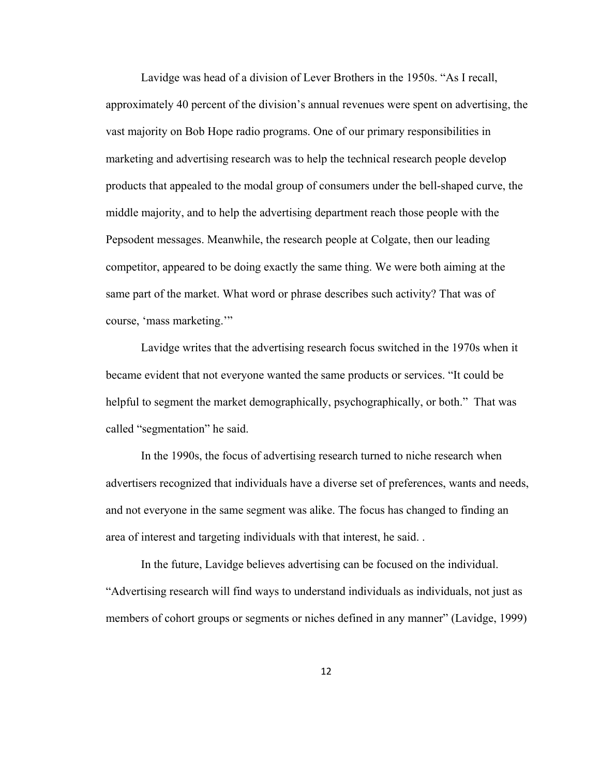Lavidge was head of a division of Lever Brothers in the 1950s. "As I recall, approximately 40 percent of the division's annual revenues were spent on advertising, the vast majority on Bob Hope radio programs. One of our primary responsibilities in marketing and advertising research was to help the technical research people develop products that appealed to the modal group of consumers under the bell-shaped curve, the middle majority, and to help the advertising department reach those people with the Pepsodent messages. Meanwhile, the research people at Colgate, then our leading competitor, appeared to be doing exactly the same thing. We were both aiming at the same part of the market. What word or phrase describes such activity? That was of course, 'mass marketing.'"

Lavidge writes that the advertising research focus switched in the 1970s when it became evident that not everyone wanted the same products or services. "It could be helpful to segment the market demographically, psychographically, or both." That was called "segmentation" he said.

In the 1990s, the focus of advertising research turned to niche research when advertisers recognized that individuals have a diverse set of preferences, wants and needs, and not everyone in the same segment was alike. The focus has changed to finding an area of interest and targeting individuals with that interest, he said. .

In the future, Lavidge believes advertising can be focused on the individual. "Advertising research will find ways to understand individuals as individuals, not just as members of cohort groups or segments or niches defined in any manner" (Lavidge, 1999)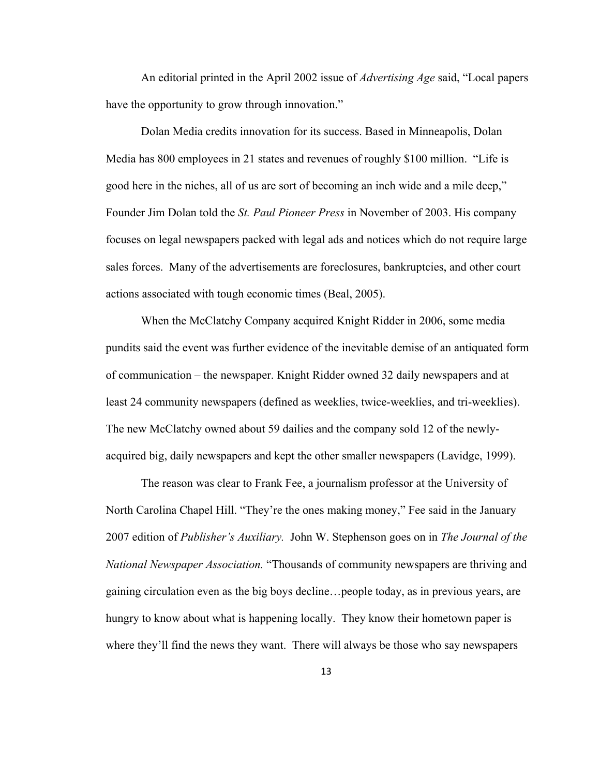An editorial printed in the April 2002 issue of *Advertising Age* said, "Local papers have the opportunity to grow through innovation."

Dolan Media credits innovation for its success. Based in Minneapolis, Dolan Media has 800 employees in 21 states and revenues of roughly \$100 million. "Life is good here in the niches, all of us are sort of becoming an inch wide and a mile deep," Founder Jim Dolan told the *St. Paul Pioneer Press* in November of 2003. His company focuses on legal newspapers packed with legal ads and notices which do not require large sales forces. Many of the advertisements are foreclosures, bankruptcies, and other court actions associated with tough economic times (Beal, 2005).

When the McClatchy Company acquired Knight Ridder in 2006, some media pundits said the event was further evidence of the inevitable demise of an antiquated form of communication – the newspaper. Knight Ridder owned 32 daily newspapers and at least 24 community newspapers (defined as weeklies, twice-weeklies, and tri-weeklies). The new McClatchy owned about 59 dailies and the company sold 12 of the newlyacquired big, daily newspapers and kept the other smaller newspapers (Lavidge, 1999).

The reason was clear to Frank Fee, a journalism professor at the University of North Carolina Chapel Hill. "They're the ones making money," Fee said in the January 2007 edition of *Publisher's Auxiliary.* John W. Stephenson goes on in *The Journal of the National Newspaper Association.* "Thousands of community newspapers are thriving and gaining circulation even as the big boys decline…people today, as in previous years, are hungry to know about what is happening locally. They know their hometown paper is where they'll find the news they want. There will always be those who say newspapers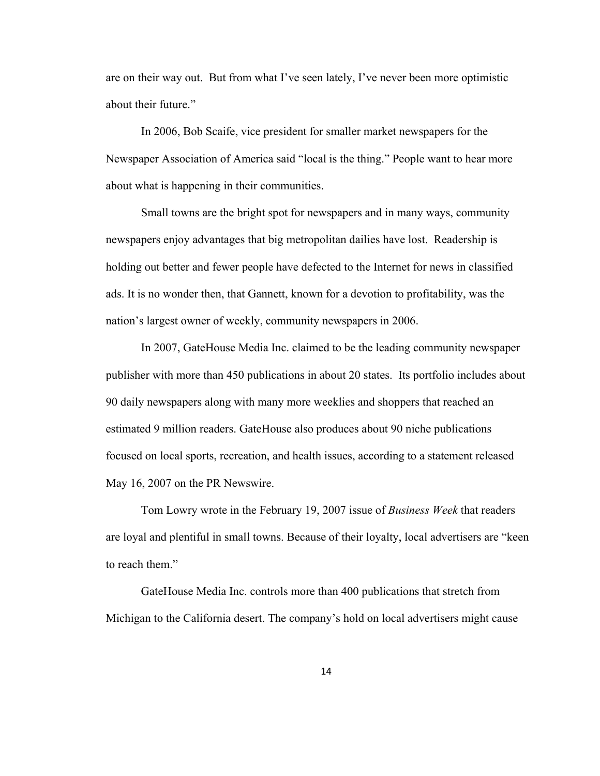are on their way out. But from what I've seen lately, I've never been more optimistic about their future."

In 2006, Bob Scaife, vice president for smaller market newspapers for the Newspaper Association of America said "local is the thing." People want to hear more about what is happening in their communities.

Small towns are the bright spot for newspapers and in many ways, community newspapers enjoy advantages that big metropolitan dailies have lost. Readership is holding out better and fewer people have defected to the Internet for news in classified ads. It is no wonder then, that Gannett, known for a devotion to profitability, was the nation's largest owner of weekly, community newspapers in 2006.

 In 2007, GateHouse Media Inc. claimed to be the leading community newspaper publisher with more than 450 publications in about 20 states. Its portfolio includes about 90 daily newspapers along with many more weeklies and shoppers that reached an estimated 9 million readers. GateHouse also produces about 90 niche publications focused on local sports, recreation, and health issues, according to a statement released May 16, 2007 on the PR Newswire.

 Tom Lowry wrote in the February 19, 2007 issue of *Business Week* that readers are loyal and plentiful in small towns. Because of their loyalty, local advertisers are "keen to reach them."

GateHouse Media Inc. controls more than 400 publications that stretch from Michigan to the California desert. The company's hold on local advertisers might cause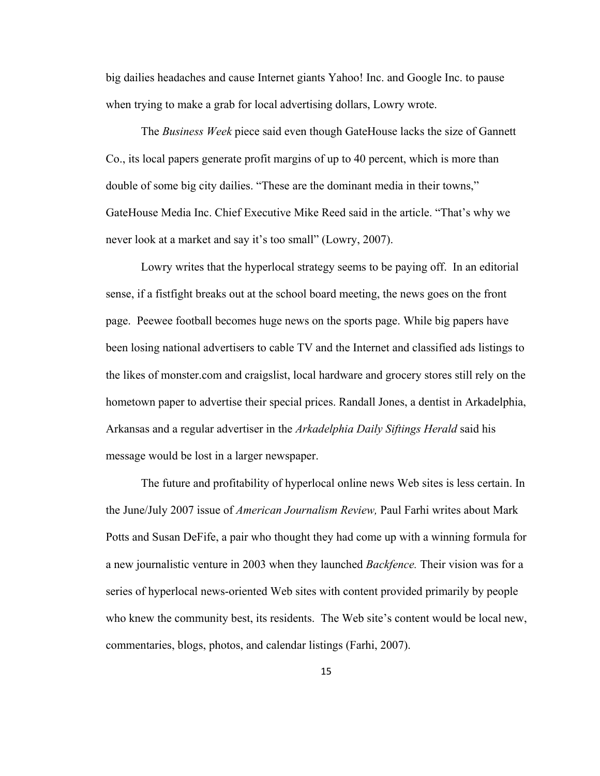big dailies headaches and cause Internet giants Yahoo! Inc. and Google Inc. to pause when trying to make a grab for local advertising dollars, Lowry wrote.

The *Business Week* piece said even though GateHouse lacks the size of Gannett Co., its local papers generate profit margins of up to 40 percent, which is more than double of some big city dailies. "These are the dominant media in their towns," GateHouse Media Inc. Chief Executive Mike Reed said in the article. "That's why we never look at a market and say it's too small" (Lowry, 2007).

Lowry writes that the hyperlocal strategy seems to be paying off. In an editorial sense, if a fistfight breaks out at the school board meeting, the news goes on the front page. Peewee football becomes huge news on the sports page. While big papers have been losing national advertisers to cable TV and the Internet and classified ads listings to the likes of monster.com and craigslist, local hardware and grocery stores still rely on the hometown paper to advertise their special prices. Randall Jones, a dentist in Arkadelphia, Arkansas and a regular advertiser in the *Arkadelphia Daily Siftings Herald* said his message would be lost in a larger newspaper.

The future and profitability of hyperlocal online news Web sites is less certain. In the June/July 2007 issue of *American Journalism Review,* Paul Farhi writes about Mark Potts and Susan DeFife, a pair who thought they had come up with a winning formula for a new journalistic venture in 2003 when they launched *Backfence.* Their vision was for a series of hyperlocal news-oriented Web sites with content provided primarily by people who knew the community best, its residents. The Web site's content would be local new, commentaries, blogs, photos, and calendar listings (Farhi, 2007).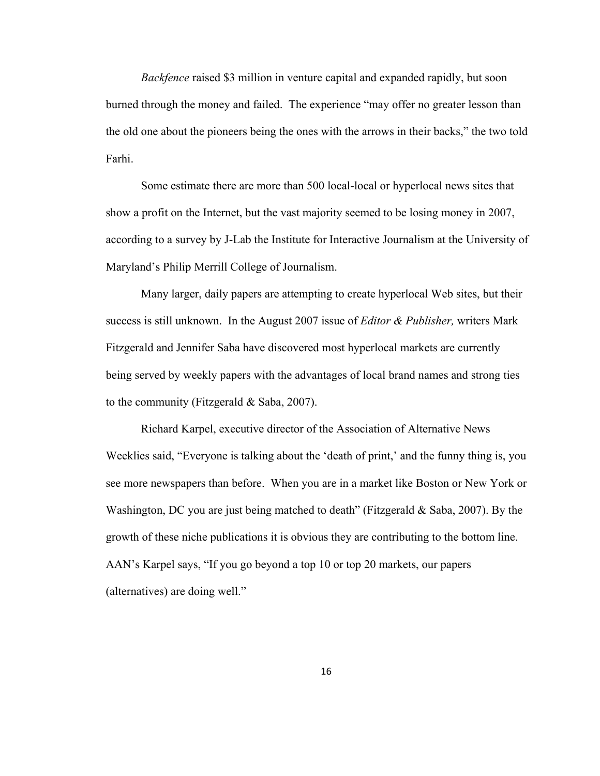*Backfence* raised \$3 million in venture capital and expanded rapidly, but soon burned through the money and failed. The experience "may offer no greater lesson than the old one about the pioneers being the ones with the arrows in their backs," the two told Farhi.

Some estimate there are more than 500 local-local or hyperlocal news sites that show a profit on the Internet, but the vast majority seemed to be losing money in 2007, according to a survey by J-Lab the Institute for Interactive Journalism at the University of Maryland's Philip Merrill College of Journalism.

Many larger, daily papers are attempting to create hyperlocal Web sites, but their success is still unknown. In the August 2007 issue of *Editor & Publisher,* writers Mark Fitzgerald and Jennifer Saba have discovered most hyperlocal markets are currently being served by weekly papers with the advantages of local brand names and strong ties to the community (Fitzgerald & Saba, 2007).

Richard Karpel, executive director of the Association of Alternative News Weeklies said, "Everyone is talking about the 'death of print,' and the funny thing is, you see more newspapers than before. When you are in a market like Boston or New York or Washington, DC you are just being matched to death" (Fitzgerald & Saba, 2007). By the growth of these niche publications it is obvious they are contributing to the bottom line. AAN's Karpel says, "If you go beyond a top 10 or top 20 markets, our papers (alternatives) are doing well."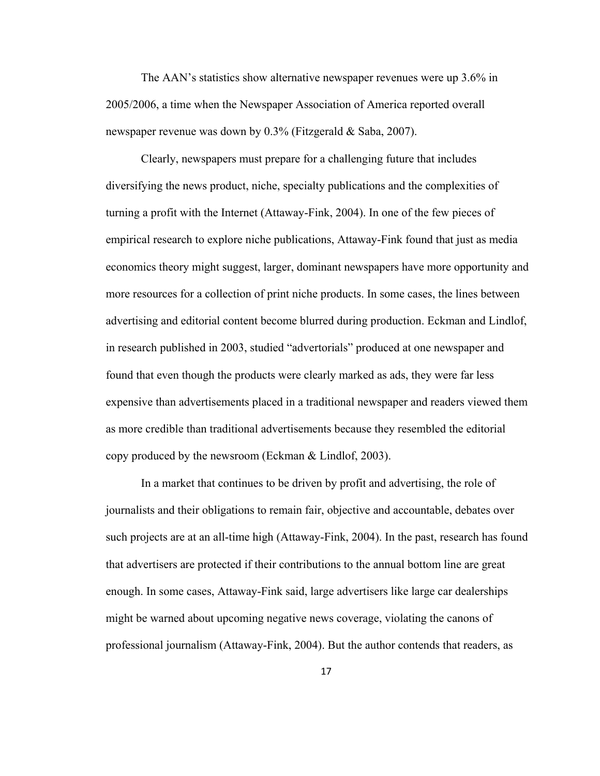The AAN's statistics show alternative newspaper revenues were up 3.6% in 2005/2006, a time when the Newspaper Association of America reported overall newspaper revenue was down by 0.3% (Fitzgerald & Saba, 2007).

 Clearly, newspapers must prepare for a challenging future that includes diversifying the news product, niche, specialty publications and the complexities of turning a profit with the Internet (Attaway-Fink, 2004). In one of the few pieces of empirical research to explore niche publications, Attaway-Fink found that just as media economics theory might suggest, larger, dominant newspapers have more opportunity and more resources for a collection of print niche products. In some cases, the lines between advertising and editorial content become blurred during production. Eckman and Lindlof, in research published in 2003, studied "advertorials" produced at one newspaper and found that even though the products were clearly marked as ads, they were far less expensive than advertisements placed in a traditional newspaper and readers viewed them as more credible than traditional advertisements because they resembled the editorial copy produced by the newsroom (Eckman & Lindlof, 2003).

In a market that continues to be driven by profit and advertising, the role of journalists and their obligations to remain fair, objective and accountable, debates over such projects are at an all-time high (Attaway-Fink, 2004). In the past, research has found that advertisers are protected if their contributions to the annual bottom line are great enough. In some cases, Attaway-Fink said, large advertisers like large car dealerships might be warned about upcoming negative news coverage, violating the canons of professional journalism (Attaway-Fink, 2004). But the author contends that readers, as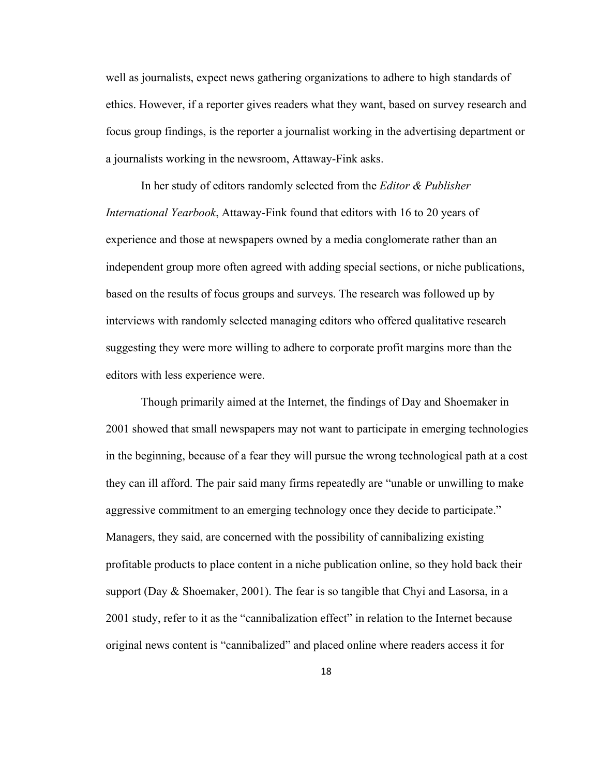well as journalists, expect news gathering organizations to adhere to high standards of ethics. However, if a reporter gives readers what they want, based on survey research and focus group findings, is the reporter a journalist working in the advertising department or a journalists working in the newsroom, Attaway-Fink asks.

 In her study of editors randomly selected from the *Editor & Publisher International Yearbook*, Attaway-Fink found that editors with 16 to 20 years of experience and those at newspapers owned by a media conglomerate rather than an independent group more often agreed with adding special sections, or niche publications, based on the results of focus groups and surveys. The research was followed up by interviews with randomly selected managing editors who offered qualitative research suggesting they were more willing to adhere to corporate profit margins more than the editors with less experience were.

 Though primarily aimed at the Internet, the findings of Day and Shoemaker in 2001 showed that small newspapers may not want to participate in emerging technologies in the beginning, because of a fear they will pursue the wrong technological path at a cost they can ill afford. The pair said many firms repeatedly are "unable or unwilling to make aggressive commitment to an emerging technology once they decide to participate." Managers, they said, are concerned with the possibility of cannibalizing existing profitable products to place content in a niche publication online, so they hold back their support (Day & Shoemaker, 2001). The fear is so tangible that Chyi and Lasorsa, in a 2001 study, refer to it as the "cannibalization effect" in relation to the Internet because original news content is "cannibalized" and placed online where readers access it for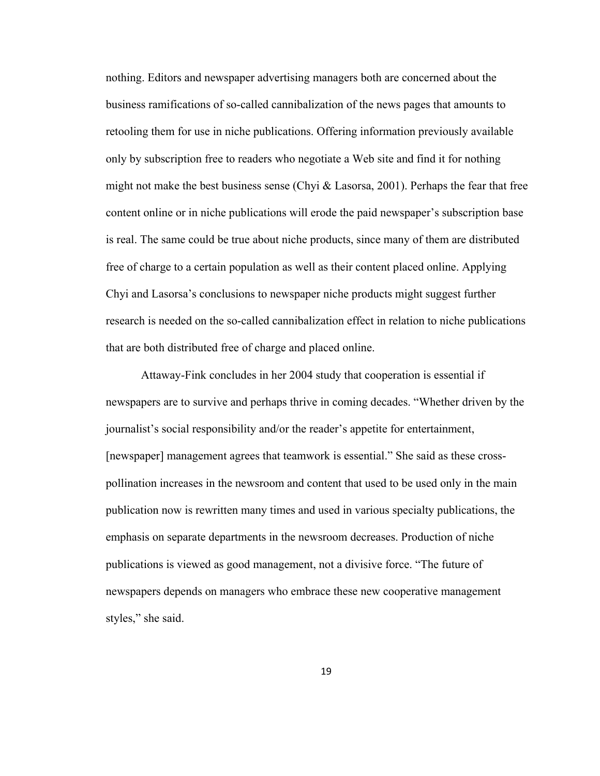nothing. Editors and newspaper advertising managers both are concerned about the business ramifications of so-called cannibalization of the news pages that amounts to retooling them for use in niche publications. Offering information previously available only by subscription free to readers who negotiate a Web site and find it for nothing might not make the best business sense (Chyi  $\&$  Lasorsa, 2001). Perhaps the fear that free content online or in niche publications will erode the paid newspaper's subscription base is real. The same could be true about niche products, since many of them are distributed free of charge to a certain population as well as their content placed online. Applying Chyi and Lasorsa's conclusions to newspaper niche products might suggest further research is needed on the so-called cannibalization effect in relation to niche publications that are both distributed free of charge and placed online.

 Attaway-Fink concludes in her 2004 study that cooperation is essential if newspapers are to survive and perhaps thrive in coming decades. "Whether driven by the journalist's social responsibility and/or the reader's appetite for entertainment, [newspaper] management agrees that teamwork is essential." She said as these crosspollination increases in the newsroom and content that used to be used only in the main publication now is rewritten many times and used in various specialty publications, the emphasis on separate departments in the newsroom decreases. Production of niche publications is viewed as good management, not a divisive force. "The future of newspapers depends on managers who embrace these new cooperative management styles," she said.

19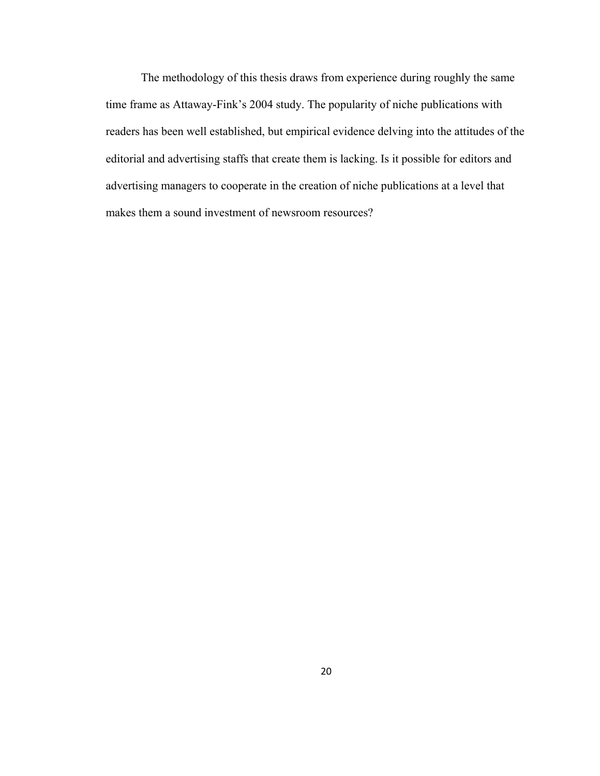The methodology of this thesis draws from experience during roughly the same time frame as Attaway-Fink's 2004 study. The popularity of niche publications with readers has been well established, but empirical evidence delving into the attitudes of the editorial and advertising staffs that create them is lacking. Is it possible for editors and advertising managers to cooperate in the creation of niche publications at a level that makes them a sound investment of newsroom resources?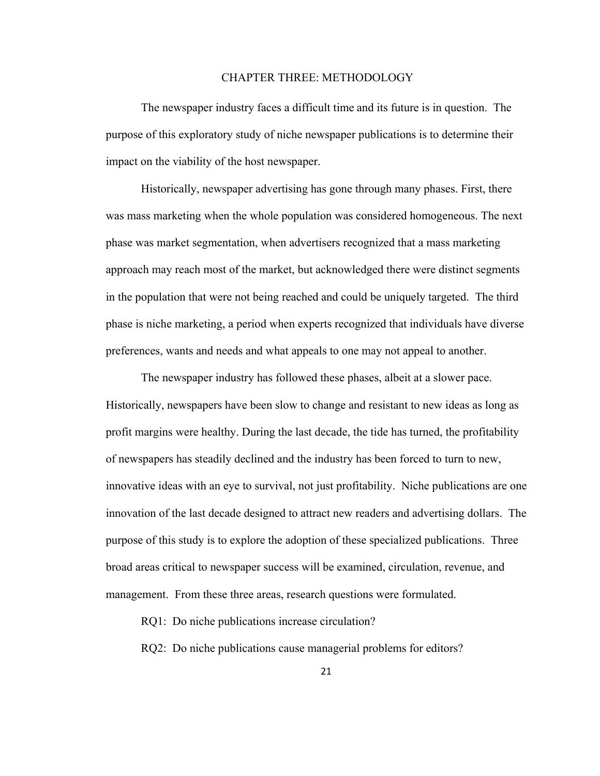#### CHAPTER THREE: METHODOLOGY

<span id="page-28-0"></span>The newspaper industry faces a difficult time and its future is in question. The purpose of this exploratory study of niche newspaper publications is to determine their impact on the viability of the host newspaper.

Historically, newspaper advertising has gone through many phases. First, there was mass marketing when the whole population was considered homogeneous. The next phase was market segmentation, when advertisers recognized that a mass marketing approach may reach most of the market, but acknowledged there were distinct segments in the population that were not being reached and could be uniquely targeted. The third phase is niche marketing, a period when experts recognized that individuals have diverse preferences, wants and needs and what appeals to one may not appeal to another.

The newspaper industry has followed these phases, albeit at a slower pace. Historically, newspapers have been slow to change and resistant to new ideas as long as profit margins were healthy. During the last decade, the tide has turned, the profitability of newspapers has steadily declined and the industry has been forced to turn to new, innovative ideas with an eye to survival, not just profitability. Niche publications are one innovation of the last decade designed to attract new readers and advertising dollars. The purpose of this study is to explore the adoption of these specialized publications. Three broad areas critical to newspaper success will be examined, circulation, revenue, and management. From these three areas, research questions were formulated.

RQ1: Do niche publications increase circulation?

RQ2: Do niche publications cause managerial problems for editors?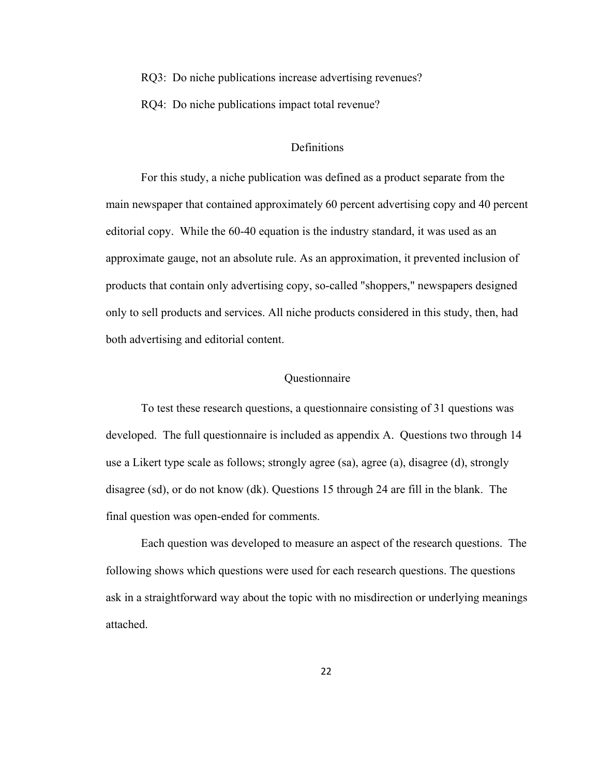<span id="page-29-0"></span>RQ3: Do niche publications increase advertising revenues?

RQ4: Do niche publications impact total revenue?

## **Definitions**

For this study, a niche publication was defined as a product separate from the main newspaper that contained approximately 60 percent advertising copy and 40 percent editorial copy. While the 60-40 equation is the industry standard, it was used as an approximate gauge, not an absolute rule. As an approximation, it prevented inclusion of products that contain only advertising copy, so-called "shoppers," newspapers designed only to sell products and services. All niche products considered in this study, then, had both advertising and editorial content.

#### **Ouestionnaire**

To test these research questions, a questionnaire consisting of 31 questions was developed. The full questionnaire is included as appendix A. Questions two through 14 use a Likert type scale as follows; strongly agree (sa), agree (a), disagree (d), strongly disagree (sd), or do not know (dk). Questions 15 through 24 are fill in the blank. The final question was open-ended for comments.

Each question was developed to measure an aspect of the research questions. The following shows which questions were used for each research questions. The questions ask in a straightforward way about the topic with no misdirection or underlying meanings attached.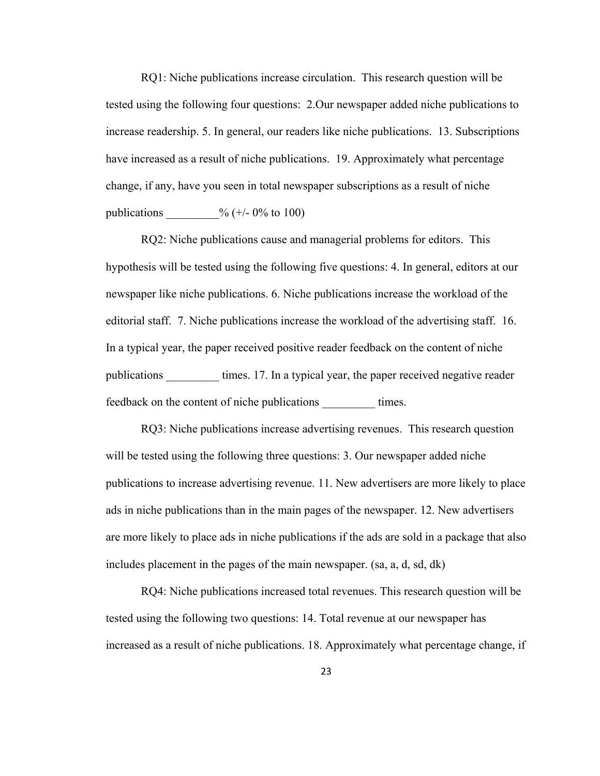RQ1: Niche publications increase circulation. This research question will be tested using the following four questions: 2.Our newspaper added niche publications to increase readership. 5. In general, our readers like niche publications. 13. Subscriptions have increased as a result of niche publications. 19. Approximately what percentage change, if any, have you seen in total newspaper subscriptions as a result of niche publications  $\frac{9}{6} (+/- 0\% \text{ to } 100)$ 

RQ2: Niche publications cause and managerial problems for editors. This hypothesis will be tested using the following five questions: 4. In general, editors at our newspaper like niche publications. 6. Niche publications increase the workload of the editorial staff. 7. Niche publications increase the workload of the advertising staff. 16. In a typical year, the paper received positive reader feedback on the content of niche publications times. 17. In a typical year, the paper received negative reader feedback on the content of niche publications times.

RQ3: Niche publications increase advertising revenues. This research question will be tested using the following three questions: 3. Our newspaper added niche publications to increase advertising revenue. 11. New advertisers are more likely to place ads in niche publications than in the main pages of the newspaper. 12. New advertisers are more likely to place ads in niche publications if the ads are sold in a package that also includes placement in the pages of the main newspaper. (sa, a, d, sd, dk)

RQ4: Niche publications increased total revenues. This research question will be tested using the following two questions: 14. Total revenue at our newspaper has increased as a result of niche publications. 18. Approximately what percentage change, if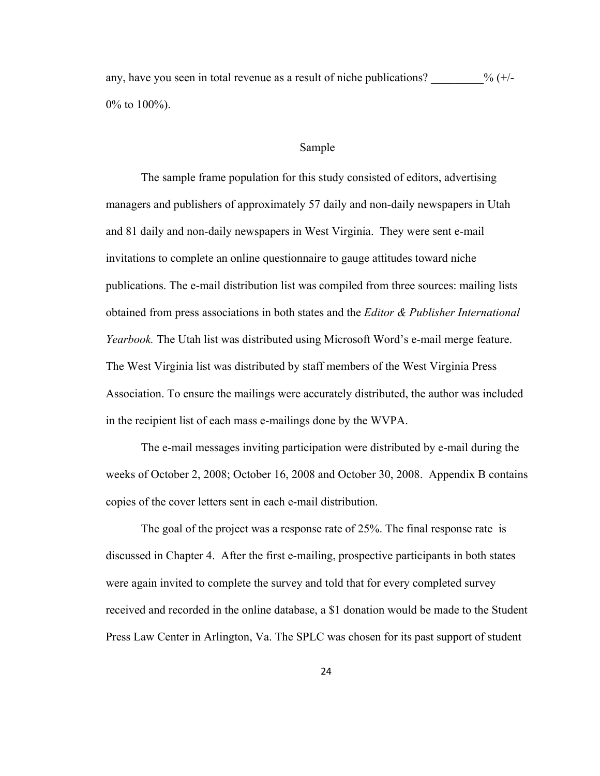<span id="page-31-0"></span>any, have you seen in total revenue as a result of niche publications?  $\%$  (+/-0% to 100%).

#### Sample

The sample frame population for this study consisted of editors, advertising managers and publishers of approximately 57 daily and non-daily newspapers in Utah and 81 daily and non-daily newspapers in West Virginia. They were sent e-mail invitations to complete an online questionnaire to gauge attitudes toward niche publications. The e-mail distribution list was compiled from three sources: mailing lists obtained from press associations in both states and the *Editor & Publisher International Yearbook.* The Utah list was distributed using Microsoft Word's e-mail merge feature. The West Virginia list was distributed by staff members of the West Virginia Press Association. To ensure the mailings were accurately distributed, the author was included in the recipient list of each mass e-mailings done by the WVPA.

The e-mail messages inviting participation were distributed by e-mail during the weeks of October 2, 2008; October 16, 2008 and October 30, 2008. Appendix B contains copies of the cover letters sent in each e-mail distribution.

The goal of the project was a response rate of 25%. The final response rate is discussed in Chapter 4. After the first e-mailing, prospective participants in both states were again invited to complete the survey and told that for every completed survey received and recorded in the online database, a \$1 donation would be made to the Student Press Law Center in Arlington, Va. The SPLC was chosen for its past support of student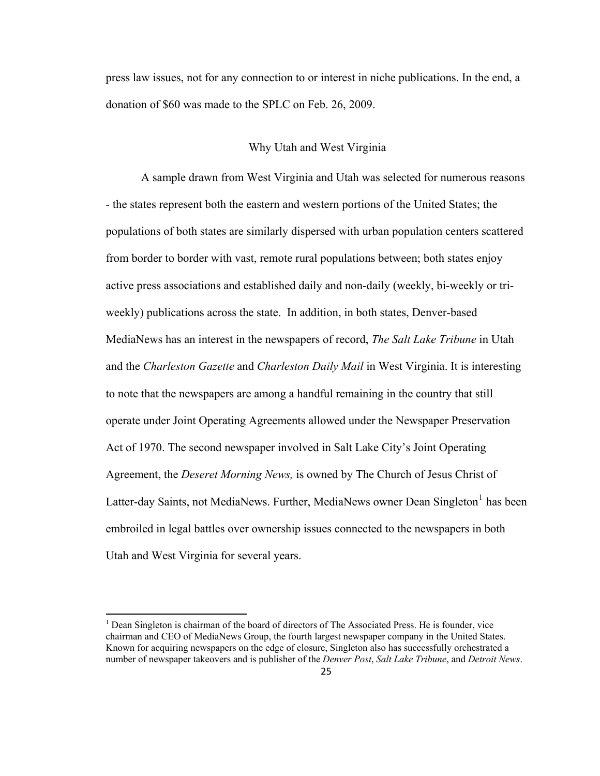<span id="page-32-0"></span>press law issues, not for any connection to or interest in niche publications. In the end, a donation of \$60 was made to the SPLC on Feb. 26, 2009.

#### Why Utah and West Virginia

A sample drawn from West Virginia and Utah was selected for numerous reasons - the states represent both the eastern and western portions of the United States; the populations of both states are similarly dispersed with urban population centers scattered from border to border with vast, remote rural populations between; both states enjoy active press associations and established daily and non-daily (weekly, bi-weekly or triweekly) publications across the state. In addition, in both states, Denver-based MediaNews has an interest in the newspapers of record, *The Salt Lake Tribune* in Utah and the *Charleston Gazette* and *Charleston Daily Mail* in West Virginia. It is interesting to note that the newspapers are among a handful remaining in the country that still operate under Joint Operating Agreements allowed under the Newspaper Preservation Act of 1970. The second newspaper involved in Salt Lake City's Joint Operating Agreement, the *Deseret Morning News,* is owned by The Church of Jesus Christ of Latter-day Saints, not MediaNews. Further, MediaNews owner Dean Singleton<sup>[1](#page-32-1)</sup> has been embroiled in legal battles over ownership issues connected to the newspapers in both Utah and West Virginia for several years.

1

<span id="page-32-1"></span><sup>&</sup>lt;sup>1</sup> Dean Singleton is chairman of the board of directors of The Associated Press. He is founder, vice chairman and CEO of MediaNews Group, the fourth largest newspaper company in the United States. Known for acquiring newspapers on the edge of closure, Singleton also has successfully orchestrated a number of newspaper takeovers and is publisher of the *Denver Post*, *Salt Lake Tribune*, and *Detroit News*.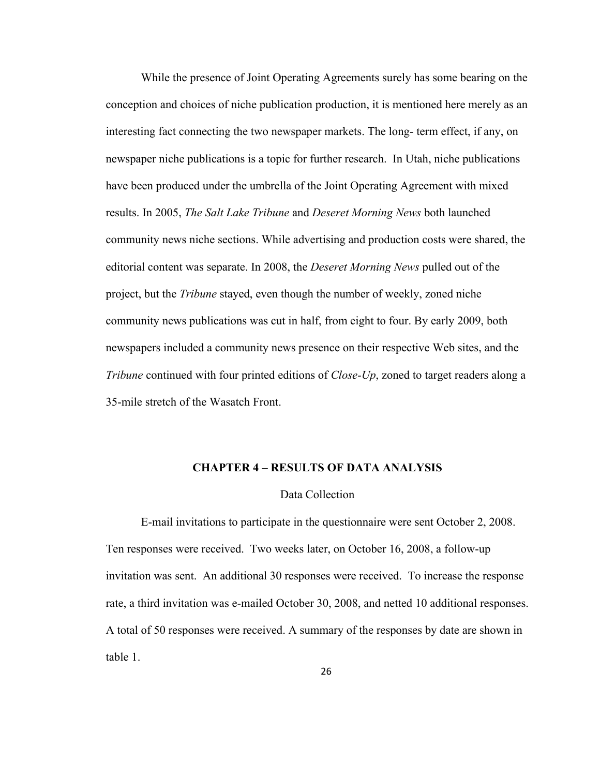<span id="page-33-0"></span>While the presence of Joint Operating Agreements surely has some bearing on the conception and choices of niche publication production, it is mentioned here merely as an interesting fact connecting the two newspaper markets. The long- term effect, if any, on newspaper niche publications is a topic for further research. In Utah, niche publications have been produced under the umbrella of the Joint Operating Agreement with mixed results. In 2005, *The Salt Lake Tribune* and *Deseret Morning News* both launched community news niche sections. While advertising and production costs were shared, the editorial content was separate. In 2008, the *Deseret Morning News* pulled out of the project, but the *Tribune* stayed, even though the number of weekly, zoned niche community news publications was cut in half, from eight to four. By early 2009, both newspapers included a community news presence on their respective Web sites, and the *Tribune* continued with four printed editions of *Close-Up*, zoned to target readers along a 35-mile stretch of the Wasatch Front.

#### **CHAPTER 4 – RESULTS OF DATA ANALYSIS**

#### Data Collection

E-mail invitations to participate in the questionnaire were sent October 2, 2008. Ten responses were received. Two weeks later, on October 16, 2008, a follow-up invitation was sent. An additional 30 responses were received. To increase the response rate, a third invitation was e-mailed October 30, 2008, and netted 10 additional responses. A total of 50 responses were received. A summary of the responses by date are shown in table 1.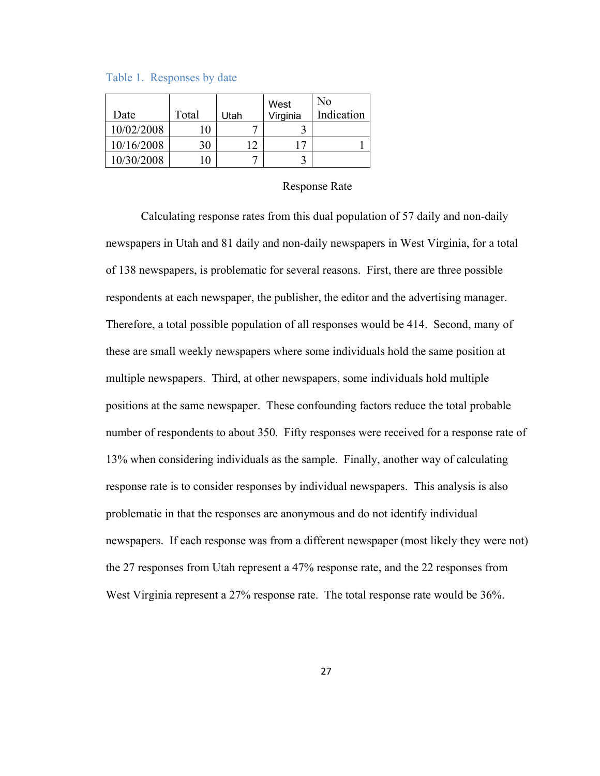<span id="page-34-0"></span>Table 1. Responses by date

| Date       | Total | Utah | West<br>Virginia | No<br>Indication |
|------------|-------|------|------------------|------------------|
| 10/02/2008 | 10    |      |                  |                  |
| 10/16/2008 | 30    | 12   |                  |                  |
| 10/30/2008 |       |      |                  |                  |

#### Response Rate

Calculating response rates from this dual population of 57 daily and non-daily newspapers in Utah and 81 daily and non-daily newspapers in West Virginia, for a total of 138 newspapers, is problematic for several reasons. First, there are three possible respondents at each newspaper, the publisher, the editor and the advertising manager. Therefore, a total possible population of all responses would be 414. Second, many of these are small weekly newspapers where some individuals hold the same position at multiple newspapers. Third, at other newspapers, some individuals hold multiple positions at the same newspaper. These confounding factors reduce the total probable number of respondents to about 350. Fifty responses were received for a response rate of 13% when considering individuals as the sample. Finally, another way of calculating response rate is to consider responses by individual newspapers. This analysis is also problematic in that the responses are anonymous and do not identify individual newspapers. If each response was from a different newspaper (most likely they were not) the 27 responses from Utah represent a 47% response rate, and the 22 responses from West Virginia represent a 27% response rate. The total response rate would be 36%.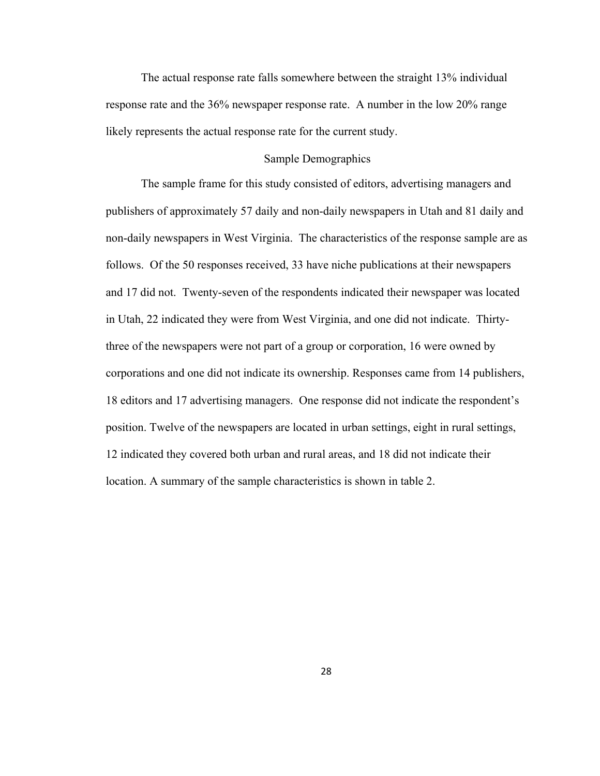<span id="page-35-0"></span>The actual response rate falls somewhere between the straight 13% individual response rate and the 36% newspaper response rate. A number in the low 20% range likely represents the actual response rate for the current study.

#### Sample Demographics

The sample frame for this study consisted of editors, advertising managers and publishers of approximately 57 daily and non-daily newspapers in Utah and 81 daily and non-daily newspapers in West Virginia. The characteristics of the response sample are as follows. Of the 50 responses received, 33 have niche publications at their newspapers and 17 did not. Twenty-seven of the respondents indicated their newspaper was located in Utah, 22 indicated they were from West Virginia, and one did not indicate. Thirtythree of the newspapers were not part of a group or corporation, 16 were owned by corporations and one did not indicate its ownership. Responses came from 14 publishers, 18 editors and 17 advertising managers. One response did not indicate the respondent's position. Twelve of the newspapers are located in urban settings, eight in rural settings, 12 indicated they covered both urban and rural areas, and 18 did not indicate their location. A summary of the sample characteristics is shown in table 2.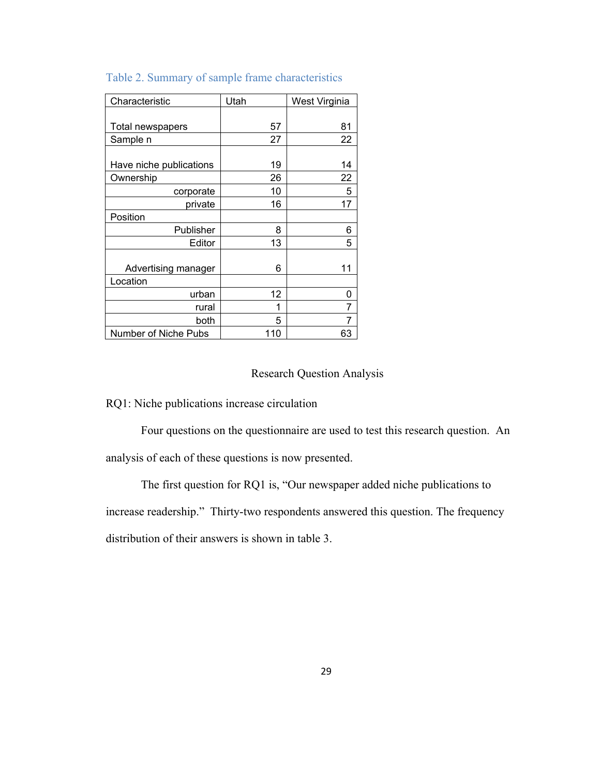| Characteristic          | Utah | West Virginia |
|-------------------------|------|---------------|
|                         |      |               |
| Total newspapers        | 57   | 81            |
| Sample n                | 27   | 22            |
|                         |      |               |
| Have niche publications | 19   | 14            |
| Ownership               | 26   | 22            |
| corporate               | 10   | 5             |
| private                 | 16   | 17            |
| Position                |      |               |
| Publisher               | 8    | 6             |
| Editor                  | 13   | 5             |
|                         |      |               |
| Advertising manager     | 6    | 11            |
| Location                |      |               |
| urban                   | 12   | 0             |
| rural                   | 1    | 7             |
| both                    | 5    | 7             |
| Number of Niche Pubs    | 110  | 63            |

## Table 2. Summary of sample frame characteristics

## Research Question Analysis

RQ1: Niche publications increase circulation

Four questions on the questionnaire are used to test this research question. An analysis of each of these questions is now presented.

The first question for RQ1 is, "Our newspaper added niche publications to increase readership." Thirty-two respondents answered this question. The frequency distribution of their answers is shown in table 3.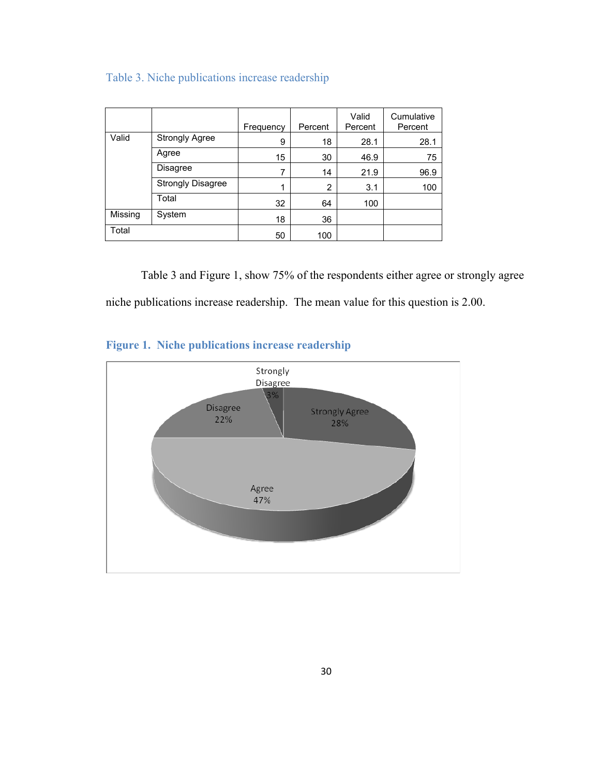|         |                          | Frequency | Percent | Valid<br>Percent | Cumulative<br>Percent |
|---------|--------------------------|-----------|---------|------------------|-----------------------|
| Valid   | <b>Strongly Agree</b>    | 9         | 18      | 28.1             | 28.1                  |
|         | Agree                    | 15        | 30      | 46.9             | 75                    |
|         | Disagree                 |           | 14      | 21.9             | 96.9                  |
|         | <b>Strongly Disagree</b> | 1         | 2       | 3.1              | 100                   |
|         | Total                    | 32        | 64      | 100              |                       |
| Missing | System                   | 18        | 36      |                  |                       |
| Total   |                          | 50        | 100     |                  |                       |

# Table 3. Niche publications increase readership

 Table 3 and Figure 1, show 75% of the respondents either agree or strongly agree niche publications increase readership. The mean value for this question is 2.00.

# **Figure 1. Niche publications increase readership**

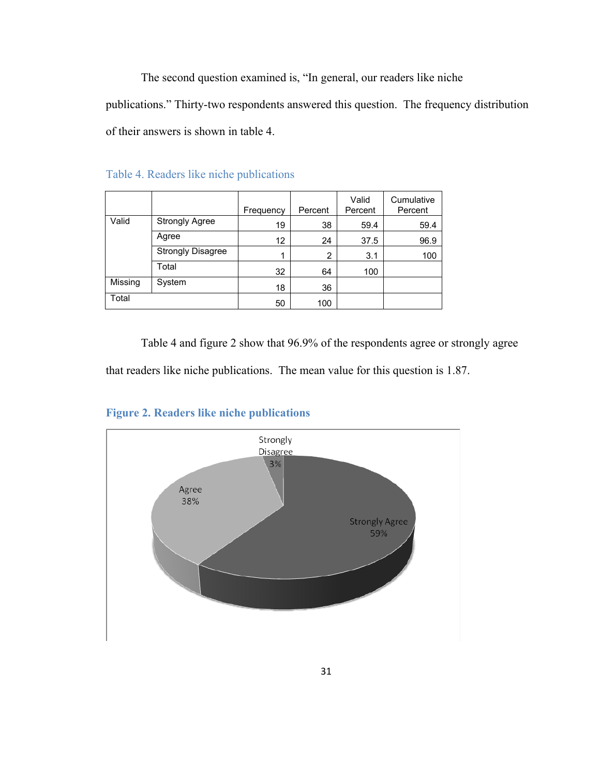The second question examined is, "In general, our readers like niche

publications." Thirty-two respondents answered this question. The frequency distribution of their answers is shown in table 4.

|         |                          | Frequency | Percent | Valid<br>Percent | Cumulative<br>Percent |
|---------|--------------------------|-----------|---------|------------------|-----------------------|
| Valid   | <b>Strongly Agree</b>    | 19        | 38      | 59.4             | 59.4                  |
|         | Agree                    | 12        | 24      | 37.5             | 96.9                  |
|         | <b>Strongly Disagree</b> |           | 2       | 3.1              | 100                   |
|         | Total                    | 32        | 64      | 100              |                       |
| Missing | System                   | 18        | 36      |                  |                       |
| Total   |                          | 50        | 100     |                  |                       |

Table 4. Readers like niche publications

 Table 4 and figure 2 show that 96.9% of the respondents agree or strongly agree that readers like niche publications. The mean value for this question is 1.87.



## **Figure 2. Readers like niche publications**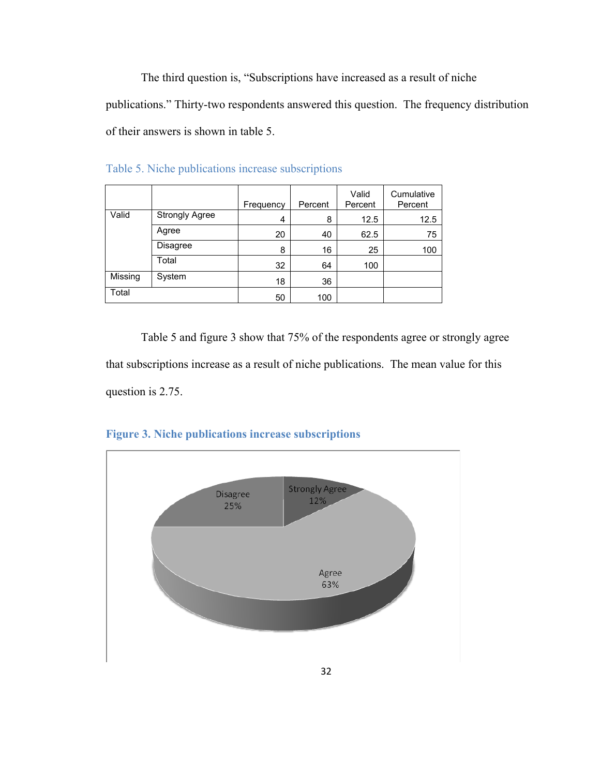The third question is, "Subscriptions have increased as a result of niche publications." Thirty-two respondents answered this question. The frequency distribution of their answers is shown in table 5.

|         |                       | Frequency | Percent | Valid<br>Percent | Cumulative<br>Percent |
|---------|-----------------------|-----------|---------|------------------|-----------------------|
| Valid   | <b>Strongly Agree</b> | 4         | 8       | 12.5             | 12.5                  |
|         | Agree                 | 20        | 40      | 62.5             | 75                    |
|         | <b>Disagree</b>       | 8         | 16      | 25               | 100                   |
|         | Total                 | 32        | 64      | 100              |                       |
| Missing | System                | 18        | 36      |                  |                       |
| Total   |                       | 50        | 100     |                  |                       |

Table 5. Niche publications increase subscriptions

 Table 5 and figure 3 show that 75% of the respondents agree or strongly agree that subscriptions increase as a result of niche publications. The mean value for this question is 2.75.



**Figure 3. Niche publications increase subscriptions**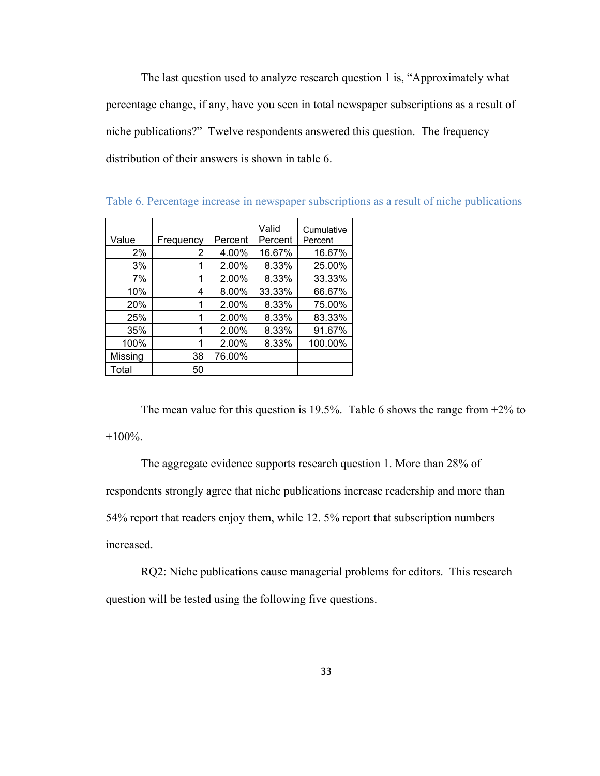The last question used to analyze research question 1 is, "Approximately what percentage change, if any, have you seen in total newspaper subscriptions as a result of niche publications?" Twelve respondents answered this question. The frequency distribution of their answers is shown in table 6.

| Value   | Frequency | Percent | Valid<br>Percent | Cumulative<br>Percent |
|---------|-----------|---------|------------------|-----------------------|
| 2%      | 2         | 4.00%   | 16.67%           | 16.67%                |
| 3%      |           | 2.00%   | 8.33%            | 25.00%                |
| 7%      |           | 2.00%   | 8.33%            | 33.33%                |
| 10%     | 4         | 8.00%   | 33.33%           | 66.67%                |
| 20%     |           | 2.00%   | 8.33%            | 75.00%                |
| 25%     |           | 2.00%   | 8.33%            | 83.33%                |
| 35%     | 1         | 2.00%   | 8.33%            | 91.67%                |
| 100%    | 1         | 2.00%   | 8.33%            | 100.00%               |
| Missing | 38        | 76.00%  |                  |                       |
| Total   | 50        |         |                  |                       |

Table 6. Percentage increase in newspaper subscriptions as a result of niche publications

The mean value for this question is 19.5%. Table 6 shows the range from  $+2\%$  to  $+100\%$ .

The aggregate evidence supports research question 1. More than 28% of respondents strongly agree that niche publications increase readership and more than 54% report that readers enjoy them, while 12. 5% report that subscription numbers increased.

RQ2: Niche publications cause managerial problems for editors. This research question will be tested using the following five questions.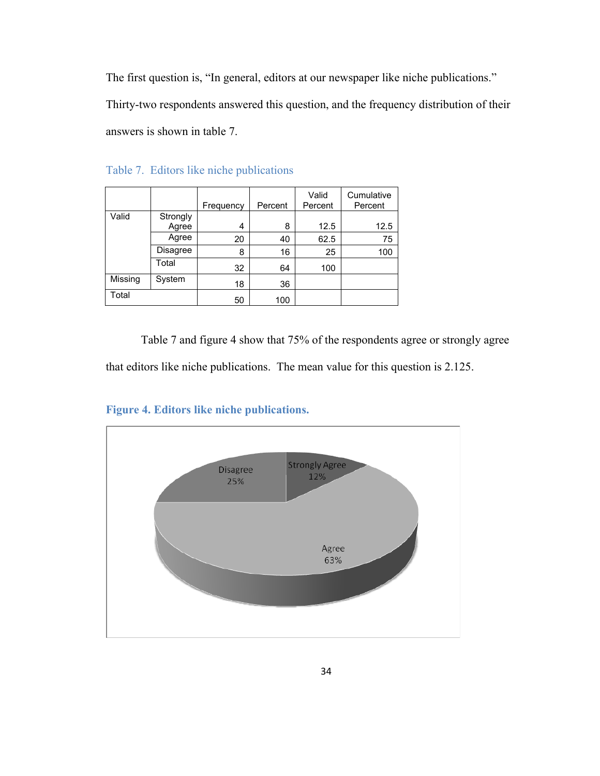The first question is, "In general, editors at our newspaper like niche publications." Thirty-two respondents answered this question, and the frequency distribution of their answers is shown in table 7.

|         |          | Frequency | Percent | Valid<br>Percent | Cumulative<br>Percent |
|---------|----------|-----------|---------|------------------|-----------------------|
| Valid   | Strongly |           |         |                  |                       |
|         | Agree    | 4         | 8       | 12.5             | 12.5                  |
|         | Agree    | 20        | 40      | 62.5             | 75                    |
|         | Disagree | 8         | 16      | 25               | 100                   |
|         | Total    | 32        | 64      | 100              |                       |
| Missing | System   | 18        | 36      |                  |                       |
| Total   |          | 50        | 100     |                  |                       |

Table 7. Editors like niche publications

 Table 7 and figure 4 show that 75% of the respondents agree or strongly agree that editors like niche publications. The mean value for this question is 2.125.



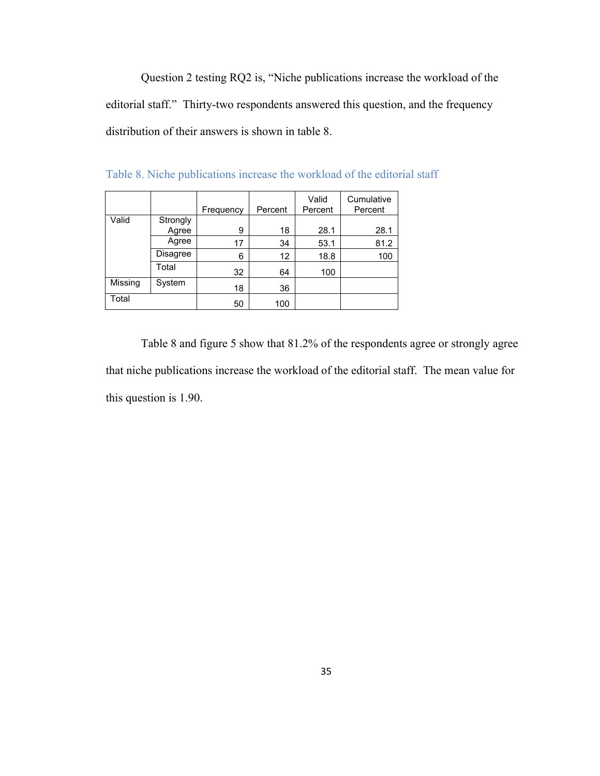Question 2 testing RQ2 is, "Niche publications increase the workload of the editorial staff." Thirty-two respondents answered this question, and the frequency distribution of their answers is shown in table 8.

|         |                   | Frequency | Percent | Valid<br>Percent | Cumulative<br>Percent |
|---------|-------------------|-----------|---------|------------------|-----------------------|
| Valid   | Strongly<br>Agree | 9         | 18      | 28.1             | 28.1                  |
|         | Agree             | 17        | 34      | 53.1             | 81.2                  |
|         | Disagree          | 6         | 12      | 18.8             | 100                   |
|         | Total             | 32        | 64      | 100              |                       |
| Missing | System            | 18        | 36      |                  |                       |
| Total   |                   | 50        | 100     |                  |                       |

Table 8. Niche publications increase the workload of the editorial staff

 Table 8 and figure 5 show that 81.2% of the respondents agree or strongly agree that niche publications increase the workload of the editorial staff. The mean value for this question is 1.90.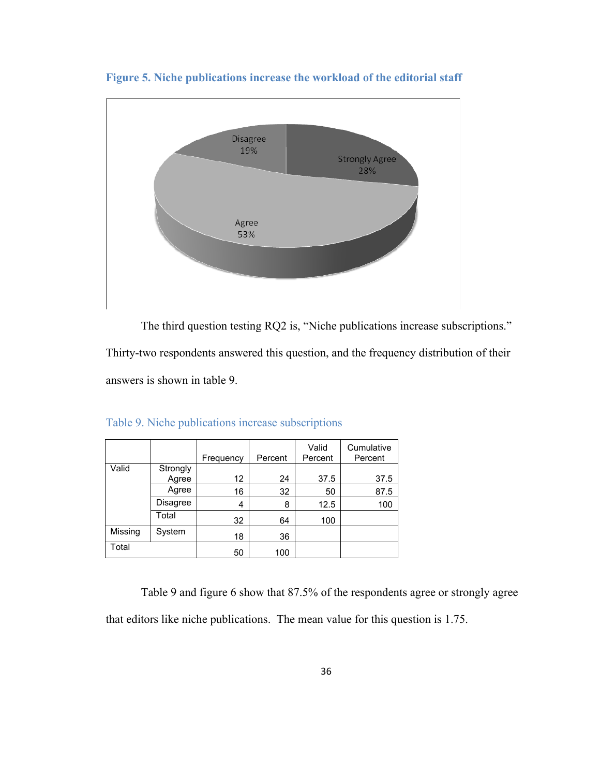

**Figure 5. Niche publications increase the workload of the editorial staff** 

 The third question testing RQ2 is, "Niche publications increase subscriptions." Thirty-two respondents answered this question, and the frequency distribution of their

answers is shown in table 9.

|         |          | Frequency | Percent | Valid<br>Percent | Cumulative<br>Percent |
|---------|----------|-----------|---------|------------------|-----------------------|
| Valid   | Strongly |           |         |                  |                       |
|         | Agree    | 12        | 24      | 37.5             | 37.5                  |
|         | Agree    | 16        | 32      | 50               | 87.5                  |
|         | Disagree | 4         | 8       | 12.5             | 100                   |
|         | Total    | 32        | 64      | 100              |                       |
| Missing | System   | 18        | 36      |                  |                       |
| Total   |          | 50        | 100     |                  |                       |

Table 9. Niche publications increase subscriptions

 Table 9 and figure 6 show that 87.5% of the respondents agree or strongly agree that editors like niche publications. The mean value for this question is 1.75.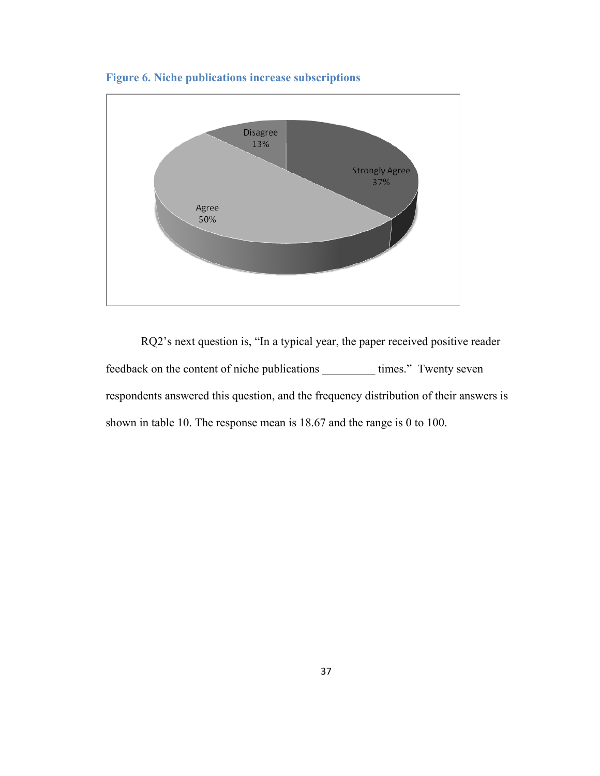

**Figure 6. Niche publications increase subscriptions** 

RQ2's next question is, "In a typical year, the paper received positive reader feedback on the content of niche publications \_\_\_\_\_\_\_\_\_ times." Twenty seven respondents answered this question, and the frequency distribution of their answers is shown in table 10. The response mean is 18.67 and the range is 0 to 100.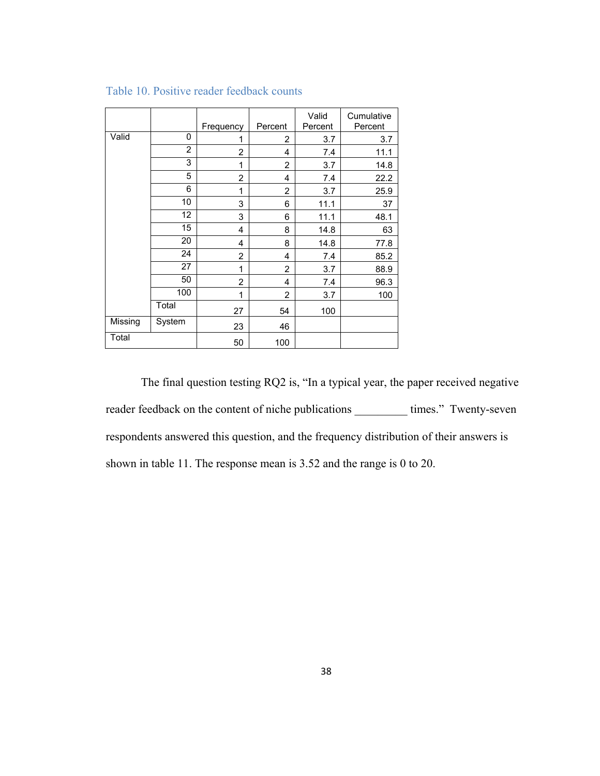|         |                | Frequency      | Percent        | Valid<br>Percent | Cumulative<br>Percent |
|---------|----------------|----------------|----------------|------------------|-----------------------|
| Valid   | 0              | 1              | 2              | 3.7              | 3.7                   |
|         | $\overline{2}$ | $\overline{2}$ | 4              | 7.4              | 11.1                  |
|         | 3              | 1              | $\overline{2}$ | 3.7              | 14.8                  |
|         | 5              | $\overline{2}$ | 4              | 7.4              | 22.2                  |
|         | 6              | 1              | $\overline{2}$ | 3.7              | 25.9                  |
|         | 10             | 3              | 6              | 11.1             | 37                    |
|         | 12             | 3              | 6              | 11.1             | 48.1                  |
|         | 15             | 4              | 8              | 14.8             | 63                    |
|         | 20             | 4              | 8              | 14.8             | 77.8                  |
|         | 24             | $\overline{2}$ | 4              | 7.4              | 85.2                  |
|         | 27             | 1              | $\overline{2}$ | 3.7              | 88.9                  |
|         | 50             | $\overline{2}$ | 4              | 7.4              | 96.3                  |
|         | 100            | 1              | $\overline{2}$ | 3.7              | 100                   |
|         | Total          | 27             | 54             | 100              |                       |
| Missing | System         | 23             | 46             |                  |                       |
| Total   |                | 50             | 100            |                  |                       |

#### Table 10. Positive reader feedback counts

 The final question testing RQ2 is, "In a typical year, the paper received negative reader feedback on the content of niche publications \_\_\_\_\_\_\_\_\_ times." Twenty-seven respondents answered this question, and the frequency distribution of their answers is shown in table 11. The response mean is 3.52 and the range is 0 to 20.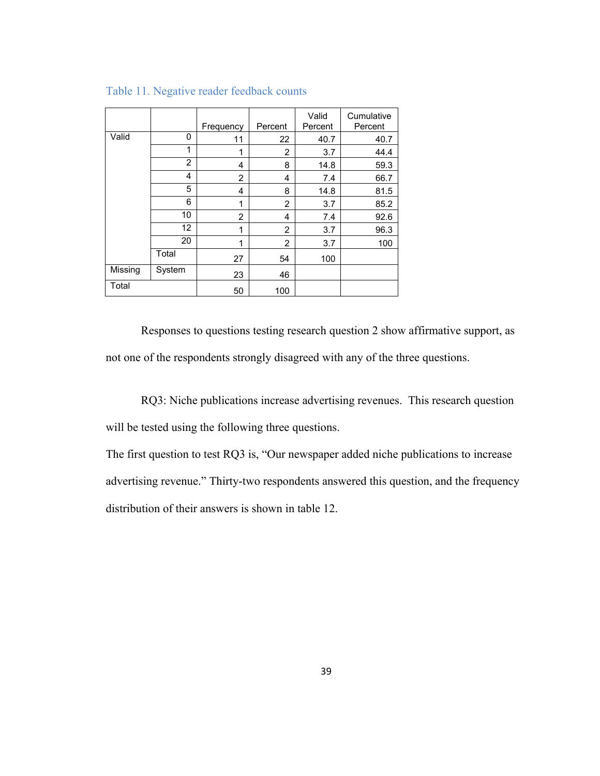|         |                | Frequency      | Percent        | Valid<br>Percent | Cumulative<br>Percent |
|---------|----------------|----------------|----------------|------------------|-----------------------|
| Valid   | 0              | 11             | 22             | 40.7             | 40.7                  |
|         | 1              | 1              | 2              | 3.7              | 44.4                  |
|         | $\overline{2}$ | 4              | 8              | 14.8             | 59.3                  |
|         | 4              | 2              | 4              | 7.4              | 66.7                  |
|         | 5              | 4              | 8              | 14.8             | 81.5                  |
|         | 6              | 1              | 2              | 3.7              | 85.2                  |
|         | 10             | $\overline{2}$ | 4              | 7.4              | 92.6                  |
|         | 12             | 1              | $\overline{2}$ | 3.7              | 96.3                  |
|         | 20             | 1              | 2              | 3.7              | 100                   |
|         | Total          | 27             | 54             | 100              |                       |
| Missing | System         | 23             | 46             |                  |                       |
| Total   |                | 50             | 100            |                  |                       |

Table 11. Negative reader feedback counts

 Responses to questions testing research question 2 show affirmative support, as not one of the respondents strongly disagreed with any of the three questions.

RQ3: Niche publications increase advertising revenues. This research question will be tested using the following three questions.

The first question to test RQ3 is, "Our newspaper added niche publications to increase advertising revenue." Thirty-two respondents answered this question, and the frequency distribution of their answers is shown in table 12.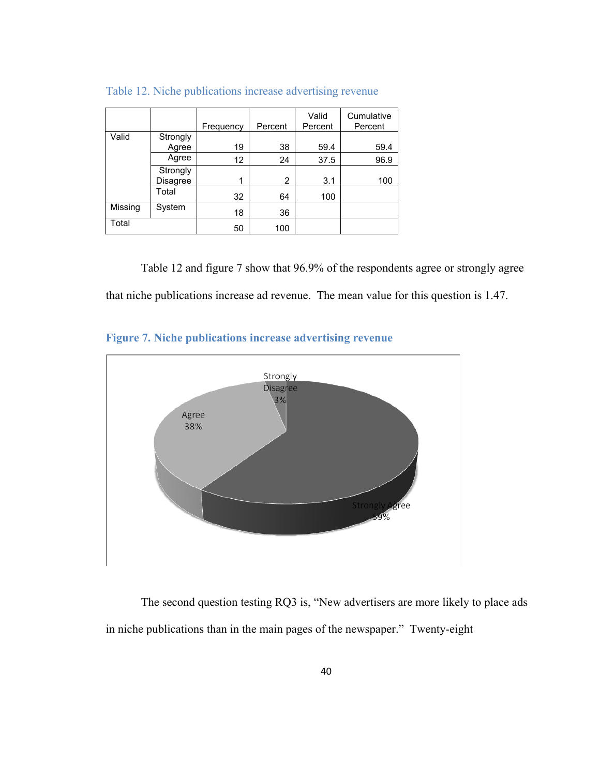|         |                      | Frequency | Percent | Valid<br>Percent | Cumulative<br>Percent |
|---------|----------------------|-----------|---------|------------------|-----------------------|
| Valid   | Strongly<br>Agree    | 19        | 38      | 59.4             | 59.4                  |
|         | Agree                | 12        | 24      | 37.5             | 96.9                  |
|         | Strongly<br>Disagree | 1         | 2       | 3.1              | 100                   |
|         | Total                | 32        | 64      | 100              |                       |
| Missing | System               | 18        | 36      |                  |                       |
| Total   |                      | 50        | 100     |                  |                       |

Table 12. Niche publications increase advertising revenue

 Table 12 and figure 7 show that 96.9% of the respondents agree or strongly agree that niche publications increase ad revenue. The mean value for this question is 1.47.





The second question testing RQ3 is, "New advertisers are more likely to place ads in niche publications than in the main pages of the newspaper." Twenty-eight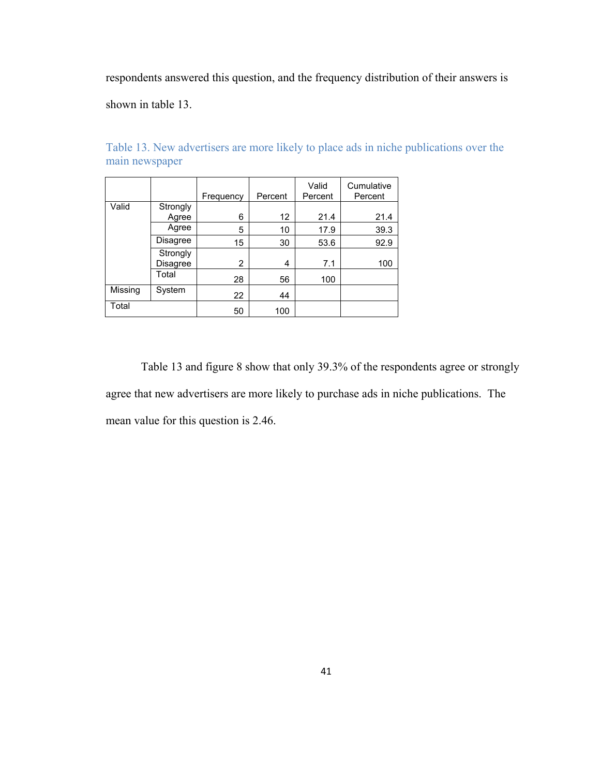respondents answered this question, and the frequency distribution of their answers is

shown in table 13.

|         |                      | Frequency      | Percent | Valid<br>Percent | Cumulative<br>Percent |
|---------|----------------------|----------------|---------|------------------|-----------------------|
| Valid   | Strongly<br>Agree    | 6              | 12      | 21.4             | 21.4                  |
|         | Agree                | 5              | 10      | 17.9             | 39.3                  |
|         | Disagree             | 15             | 30      | 53.6             | 92.9                  |
|         | Strongly<br>Disagree | $\overline{2}$ | 4       | 7.1              | 100                   |
|         | Total                | 28             | 56      | 100              |                       |
| Missing | System               | 22             | 44      |                  |                       |
| Total   |                      | 50             | 100     |                  |                       |

Table 13. New advertisers are more likely to place ads in niche publications over the main newspaper

Table 13 and figure 8 show that only 39.3% of the respondents agree or strongly agree that new advertisers are more likely to purchase ads in niche publications. The mean value for this question is 2.46.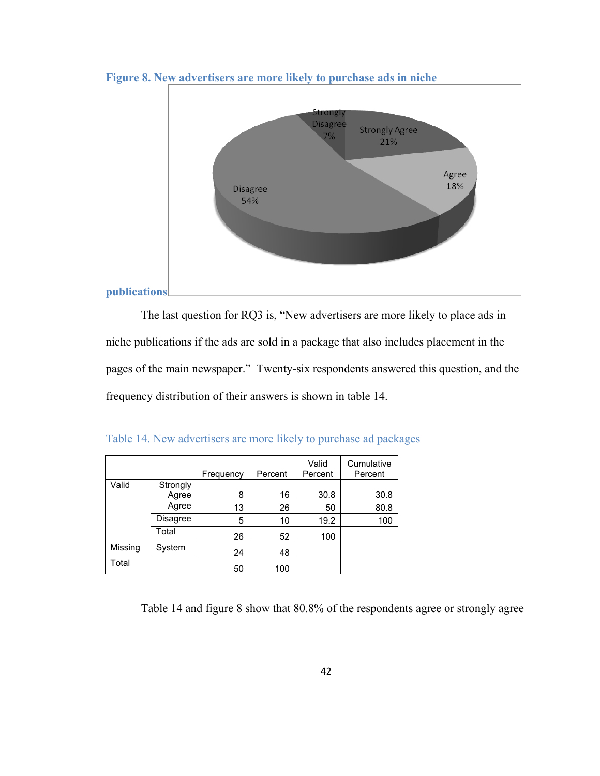

**Figure 8. New advertisers are more likely to purchase ads in niche** 

The last question for RQ3 is, "New advertisers are more likely to place ads in niche publications if the ads are sold in a package that also includes placement in the pages of the main newspaper." Twenty-six respondents answered this question, and the frequency distribution of their answers is shown in table 14.

|         |                   | Frequency | Percent | Valid<br>Percent | Cumulative<br>Percent |
|---------|-------------------|-----------|---------|------------------|-----------------------|
| Valid   | Strongly<br>Agree | 8         | 16      | 30.8             | 30.8                  |
|         | Agree             | 13        | 26      | 50               | 80.8                  |
|         | Disagree          | 5         | 10      | 19.2             | 100                   |
|         | Total             | 26        | 52      | 100              |                       |
| Missing | System            | 24        | 48      |                  |                       |
| Total   |                   | 50        | 100     |                  |                       |

Table 14. New advertisers are more likely to purchase ad packages

Table 14 and figure 8 show that 80.8% of the respondents agree or strongly agree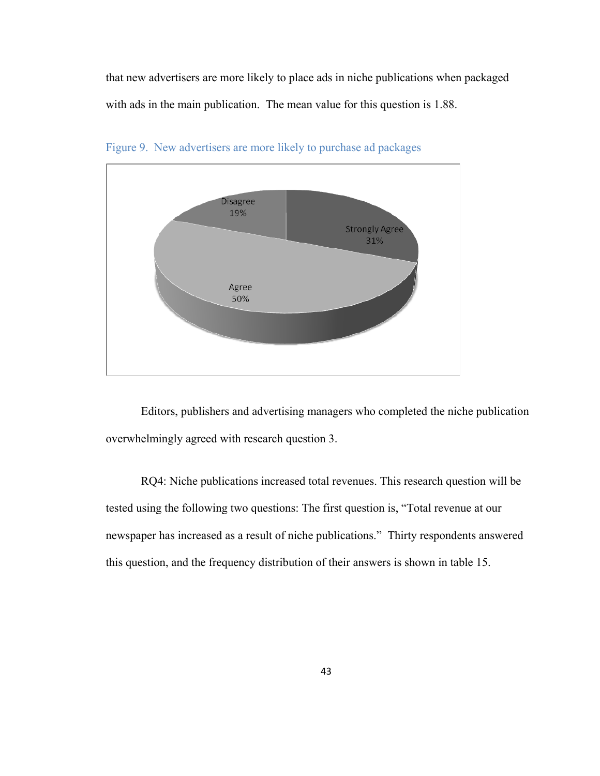that new advertisers are more likely to place ads in niche publications when packaged with ads in the main publication. The mean value for this question is 1.88.



Figure 9. New advertisers are more likely to purchase ad packages

Editors, publishers and advertising managers who completed the niche publication overwhelmingly agreed with research question 3.

RQ4: Niche publications increased total revenues. This research question will be tested using the following two questions: The first question is, "Total revenue at our newspaper has increased as a result of niche publications." Thirty respondents answered this question, and the frequency distribution of their answers is shown in table 15.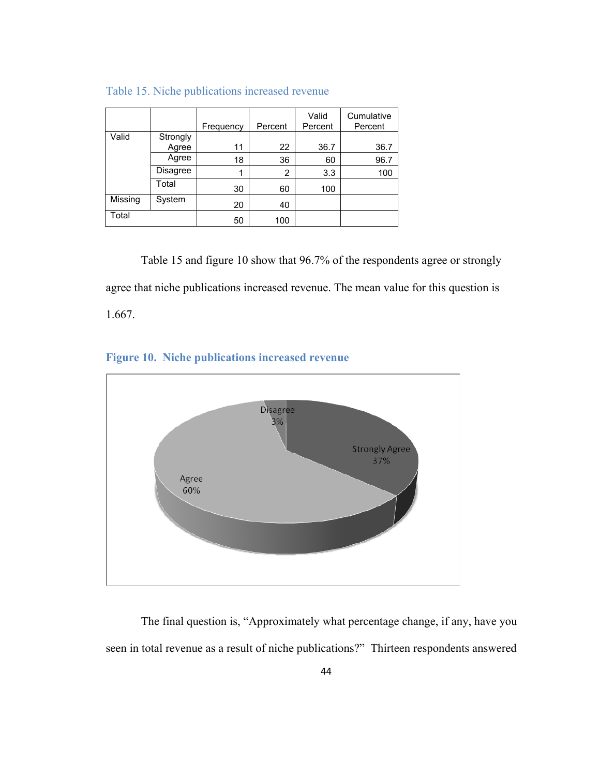|         |          | Frequency | Percent | Valid<br>Percent | Cumulative<br>Percent |
|---------|----------|-----------|---------|------------------|-----------------------|
| Valid   | Strongly |           |         |                  |                       |
|         | Agree    | 11        | 22      | 36.7             | 36.7                  |
|         | Agree    | 18        | 36      | 60               | 96.7                  |
|         | Disagree |           | 2       | 3.3              | 100                   |
|         | Total    | 30        | 60      | 100              |                       |
| Missing | System   | 20        | 40      |                  |                       |
| Total   |          | 50        | 100     |                  |                       |

## Table 15. Niche publications increased revenue

 Table 15 and figure 10 show that 96.7% of the respondents agree or strongly agree that niche publications increased revenue. The mean value for this question is 1.667.

# **Figure 10. Niche publications increased revenue**



The final question is, "Approximately what percentage change, if any, have you seen in total revenue as a result of niche publications?" Thirteen respondents answered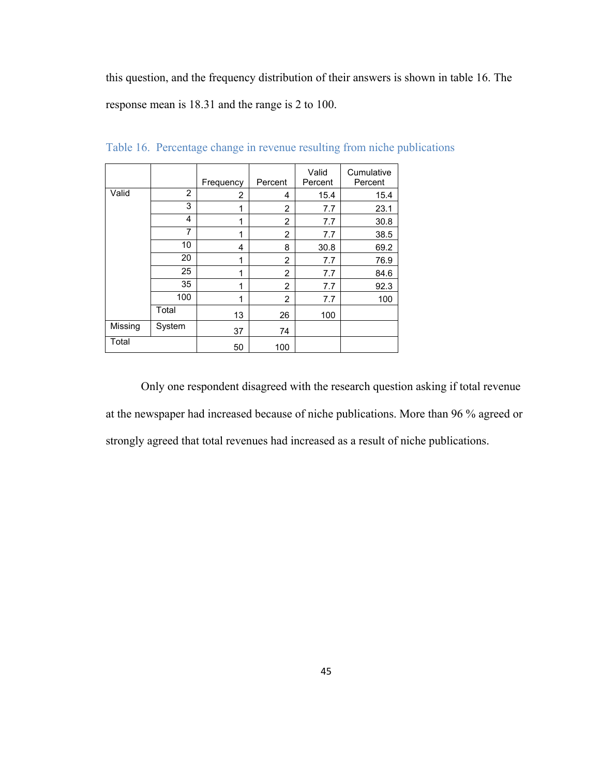this question, and the frequency distribution of their answers is shown in table 16. The response mean is 18.31 and the range is 2 to 100.

|         |        | Frequency      | Percent        | Valid<br>Percent | Cumulative<br>Percent |
|---------|--------|----------------|----------------|------------------|-----------------------|
| Valid   | 2      | $\overline{2}$ | 4              | 15.4             | 15.4                  |
|         | 3      | 1              | $\overline{2}$ | 7.7              | 23.1                  |
|         | 4      | 1              | $\overline{2}$ | 7.7              | 30.8                  |
|         | 7      | 1              | $\overline{2}$ | 7.7              | 38.5                  |
|         | 10     | 4              | 8              | 30.8             | 69.2                  |
|         | 20     | 1              | $\overline{2}$ | 7.7              | 76.9                  |
|         | 25     | 1              | $\overline{2}$ | 7.7              | 84.6                  |
|         | 35     | 1              | $\overline{2}$ | 7.7              | 92.3                  |
|         | 100    | 1              | $\overline{2}$ | 7.7              | 100                   |
|         | Total  | 13             | 26             | 100              |                       |
| Missing | System | 37             | 74             |                  |                       |
| Total   |        | 50             | 100            |                  |                       |

Table 16. Percentage change in revenue resulting from niche publications

 Only one respondent disagreed with the research question asking if total revenue at the newspaper had increased because of niche publications. More than 96 % agreed or strongly agreed that total revenues had increased as a result of niche publications.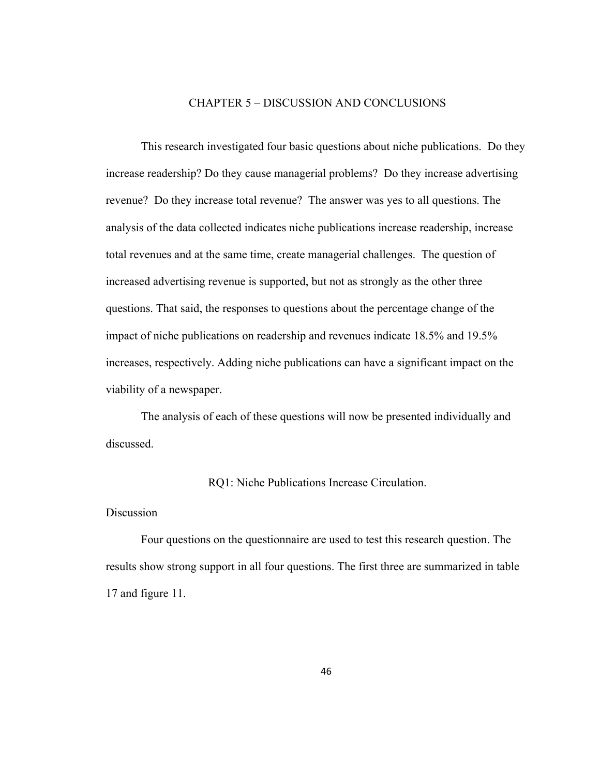#### CHAPTER 5 – DISCUSSION AND CONCLUSIONS

 This research investigated four basic questions about niche publications. Do they increase readership? Do they cause managerial problems? Do they increase advertising revenue? Do they increase total revenue? The answer was yes to all questions. The analysis of the data collected indicates niche publications increase readership, increase total revenues and at the same time, create managerial challenges. The question of increased advertising revenue is supported, but not as strongly as the other three questions. That said, the responses to questions about the percentage change of the impact of niche publications on readership and revenues indicate 18.5% and 19.5% increases, respectively. Adding niche publications can have a significant impact on the viability of a newspaper.

 The analysis of each of these questions will now be presented individually and discussed.

#### RQ1: Niche Publications Increase Circulation.

#### Discussion

Four questions on the questionnaire are used to test this research question. The results show strong support in all four questions. The first three are summarized in table 17 and figure 11.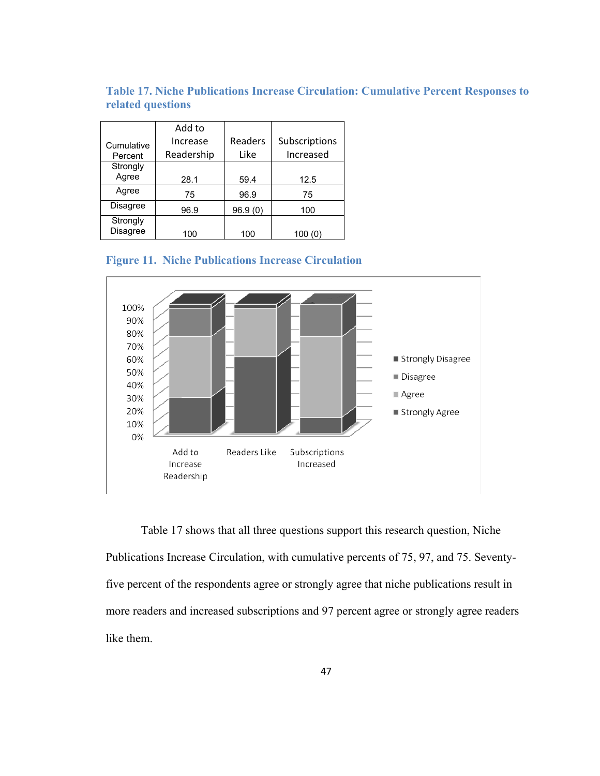**Table 17. Niche Publications Increase Circulation: Cumulative Percent Responses to related questions**

|                 | Add to     |         |               |
|-----------------|------------|---------|---------------|
| Cumulative      | Increase   | Readers | Subscriptions |
| Percent         | Readership | Like    | Increased     |
| Strongly        |            |         |               |
| Agree           | 28.1       | 59.4    | 12.5          |
| Agree           | 75         | 96.9    | 75            |
| <b>Disagree</b> | 96.9       | 96.9(0) | 100           |
| Strongly        |            |         |               |
| Disagree        | 100        | 100     | 100<br>(0)    |





Table 17 shows that all three questions support this research question, Niche Publications Increase Circulation, with cumulative percents of 75, 97, and 75. Seventyfive percent of the respondents agree or strongly agree that niche publications result in more readers and increased subscriptions and 97 percent agree or strongly agree readers like them.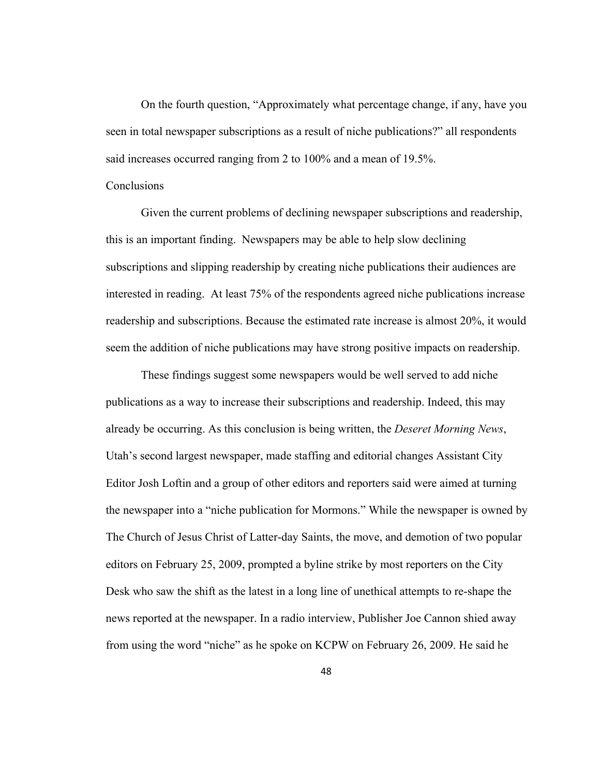On the fourth question, "Approximately what percentage change, if any, have you seen in total newspaper subscriptions as a result of niche publications?" all respondents said increases occurred ranging from 2 to 100% and a mean of 19.5%.

#### **Conclusions**

Given the current problems of declining newspaper subscriptions and readership, this is an important finding. Newspapers may be able to help slow declining subscriptions and slipping readership by creating niche publications their audiences are interested in reading. At least 75% of the respondents agreed niche publications increase readership and subscriptions. Because the estimated rate increase is almost 20%, it would seem the addition of niche publications may have strong positive impacts on readership.

These findings suggest some newspapers would be well served to add niche publications as a way to increase their subscriptions and readership. Indeed, this may already be occurring. As this conclusion is being written, the *Deseret Morning News*, Utah's second largest newspaper, made staffing and editorial changes Assistant City Editor Josh Loftin and a group of other editors and reporters said were aimed at turning the newspaper into a "niche publication for Mormons." While the newspaper is owned by The Church of Jesus Christ of Latter-day Saints, the move, and demotion of two popular editors on February 25, 2009, prompted a byline strike by most reporters on the City Desk who saw the shift as the latest in a long line of unethical attempts to re-shape the news reported at the newspaper. In a radio interview, Publisher Joe Cannon shied away from using the word "niche" as he spoke on KCPW on February 26, 2009. He said he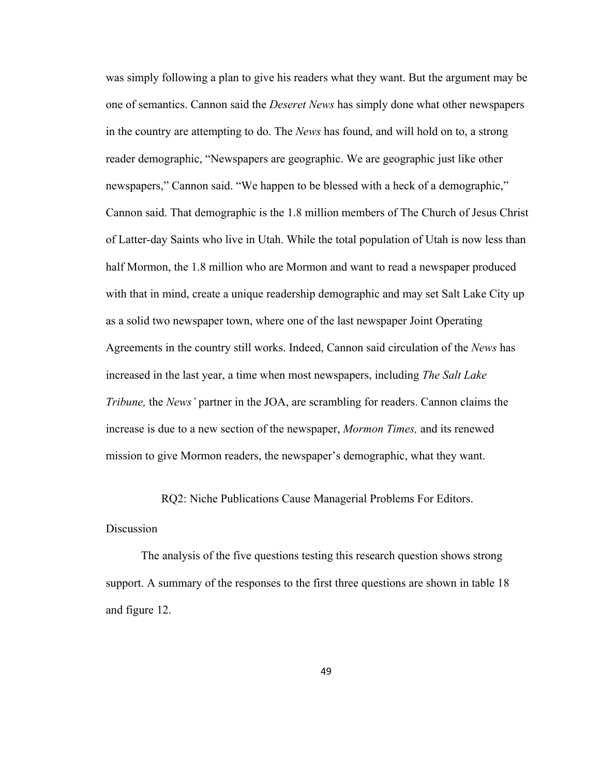was simply following a plan to give his readers what they want. But the argument may be one of semantics. Cannon said the *Deseret News* has simply done what other newspapers in the country are attempting to do. The *News* has found, and will hold on to, a strong reader demographic, "Newspapers are geographic. We are geographic just like other newspapers," Cannon said. "We happen to be blessed with a heck of a demographic," Cannon said. That demographic is the 1.8 million members of The Church of Jesus Christ of Latter-day Saints who live in Utah. While the total population of Utah is now less than half Mormon, the 1.8 million who are Mormon and want to read a newspaper produced with that in mind, create a unique readership demographic and may set Salt Lake City up as a solid two newspaper town, where one of the last newspaper Joint Operating Agreements in the country still works. Indeed, Cannon said circulation of the *News* has increased in the last year, a time when most newspapers, including *The Salt Lake Tribune,* the *News'* partner in the JOA, are scrambling for readers. Cannon claims the increase is due to a new section of the newspaper, *Mormon Times,* and its renewed mission to give Mormon readers, the newspaper's demographic, what they want.

RQ2: Niche Publications Cause Managerial Problems For Editors.

#### Discussion

The analysis of the five questions testing this research question shows strong support. A summary of the responses to the first three questions are shown in table 18 and figure 12.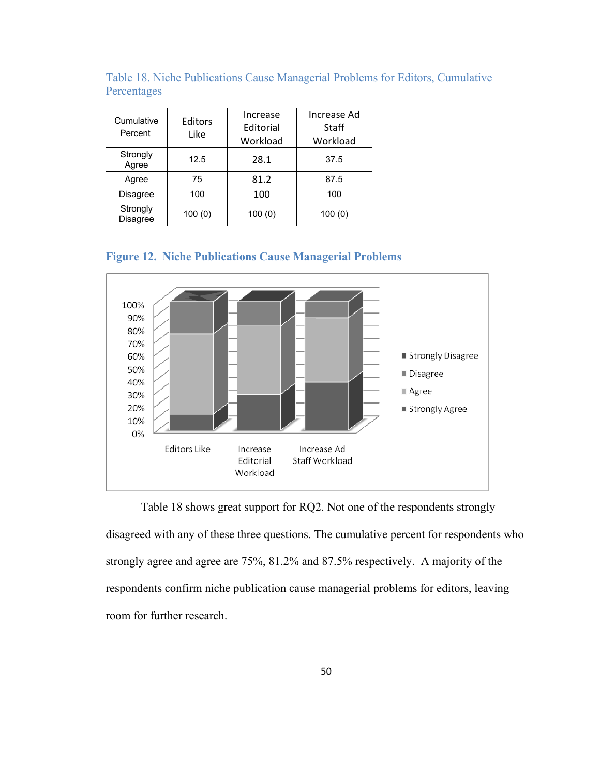| Cumulative<br>Percent       | Editors<br>Like | Increase<br>Editorial<br>Workload | Increase Ad<br><b>Staff</b><br>Workload |
|-----------------------------|-----------------|-----------------------------------|-----------------------------------------|
| Strongly<br>Agree           | 12.5            | 28.1                              | 37.5                                    |
| Agree                       | 75              | 81.2                              | 87.5                                    |
| <b>Disagree</b>             | 100             | 100                               | 100                                     |
| Strongly<br><b>Disagree</b> | 100(0)          | 100(0)                            | 100(0)                                  |

Table 18. Niche Publications Cause Managerial Problems for Editors, Cumulative Percentages



**Figure 12. Niche Publications Cause Managerial Problems** 

 Table 18 shows great support for RQ2. Not one of the respondents strongly disagreed with any of these three questions. The cumulative percent for respondents who strongly agree and agree are 75%, 81.2% and 87.5% respectively. A majority of the respondents confirm niche publication cause managerial problems for editors, leaving room for further research.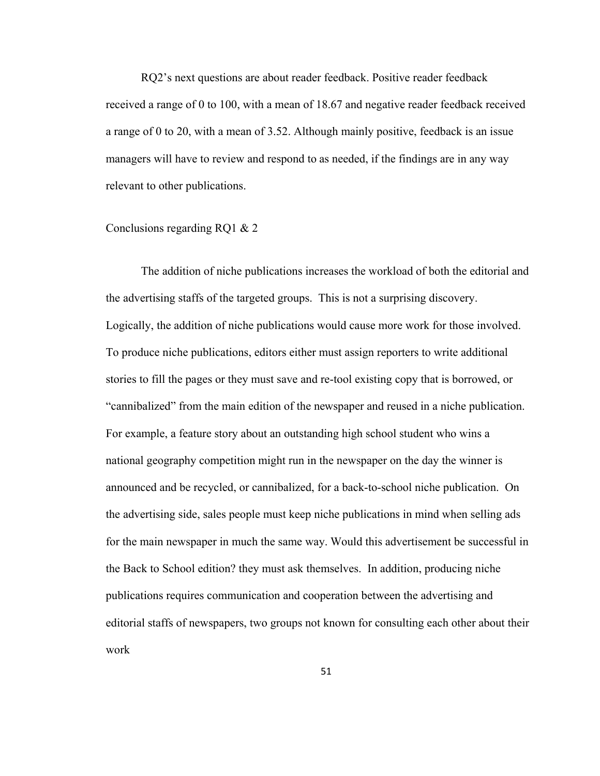RQ2's next questions are about reader feedback. Positive reader feedback received a range of 0 to 100, with a mean of 18.67 and negative reader feedback received a range of 0 to 20, with a mean of 3.52. Although mainly positive, feedback is an issue managers will have to review and respond to as needed, if the findings are in any way relevant to other publications.

#### Conclusions regarding RQ1 & 2

The addition of niche publications increases the workload of both the editorial and the advertising staffs of the targeted groups. This is not a surprising discovery. Logically, the addition of niche publications would cause more work for those involved. To produce niche publications, editors either must assign reporters to write additional stories to fill the pages or they must save and re-tool existing copy that is borrowed, or "cannibalized" from the main edition of the newspaper and reused in a niche publication. For example, a feature story about an outstanding high school student who wins a national geography competition might run in the newspaper on the day the winner is announced and be recycled, or cannibalized, for a back-to-school niche publication. On the advertising side, sales people must keep niche publications in mind when selling ads for the main newspaper in much the same way. Would this advertisement be successful in the Back to School edition? they must ask themselves. In addition, producing niche publications requires communication and cooperation between the advertising and editorial staffs of newspapers, two groups not known for consulting each other about their work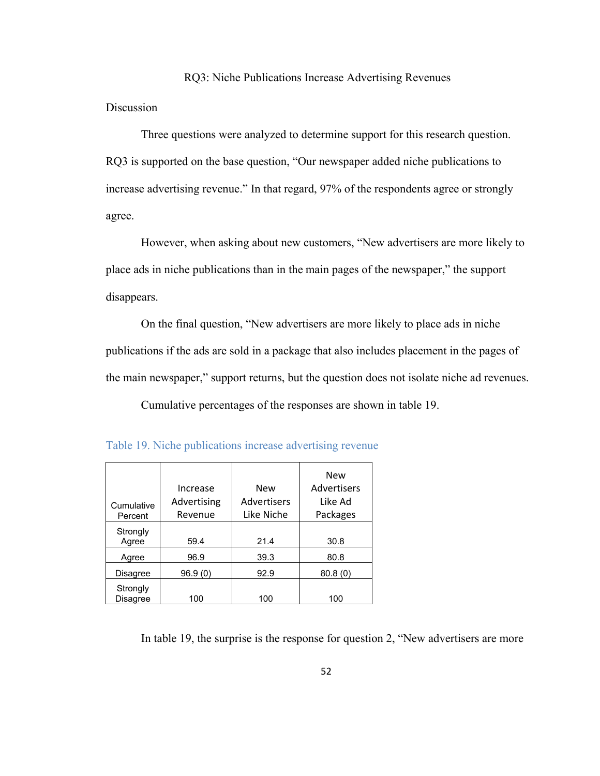#### RQ3: Niche Publications Increase Advertising Revenues

Discussion

Three questions were analyzed to determine support for this research question. RQ3 is supported on the base question, "Our newspaper added niche publications to increase advertising revenue." In that regard, 97% of the respondents agree or strongly agree.

However, when asking about new customers, "New advertisers are more likely to place ads in niche publications than in the main pages of the newspaper," the support disappears.

On the final question, "New advertisers are more likely to place ads in niche publications if the ads are sold in a package that also includes placement in the pages of the main newspaper," support returns, but the question does not isolate niche ad revenues.

Cumulative percentages of the responses are shown in table 19.

| Cumulative<br>Percent       | Increase<br>Advertising<br>Revenue | New<br>Advertisers<br>Like Niche | <b>New</b><br>Advertisers<br>Like Ad<br>Packages |
|-----------------------------|------------------------------------|----------------------------------|--------------------------------------------------|
| Strongly<br>Agree           | 59.4                               | 21.4                             | 30.8                                             |
| Agree                       | 96.9                               | 39.3                             | 80.8                                             |
| Disagree                    | 96.9(0)                            | 92.9                             | 80.8(0)                                          |
| Strongly<br><b>Disagree</b> | 100                                | 100                              | 100                                              |

|  |  | Table 19. Niche publications increase advertising revenue |  |  |
|--|--|-----------------------------------------------------------|--|--|
|  |  |                                                           |  |  |

In table 19, the surprise is the response for question 2, "New advertisers are more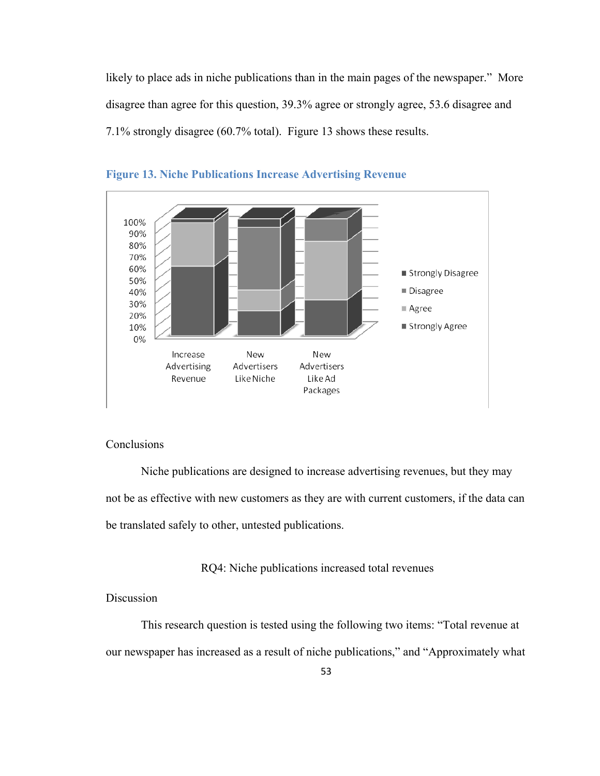likely to place ads in niche publications than in the main pages of the newspaper." More disagree than agree for this question, 39.3% agree or strongly agree, 53.6 disagree and 7.1% strongly disagree (60.7% total). Figure 13 shows these results.





## **Conclusions**

Niche publications are designed to increase advertising revenues, but they may not be as effective with new customers as they are with current customers, if the data can be translated safely to other, untested publications.

RQ4: Niche publications increased total revenues

Discussion

This research question is tested using the following two items: "Total revenue at our newspaper has increased as a result of niche publications," and "Approximately what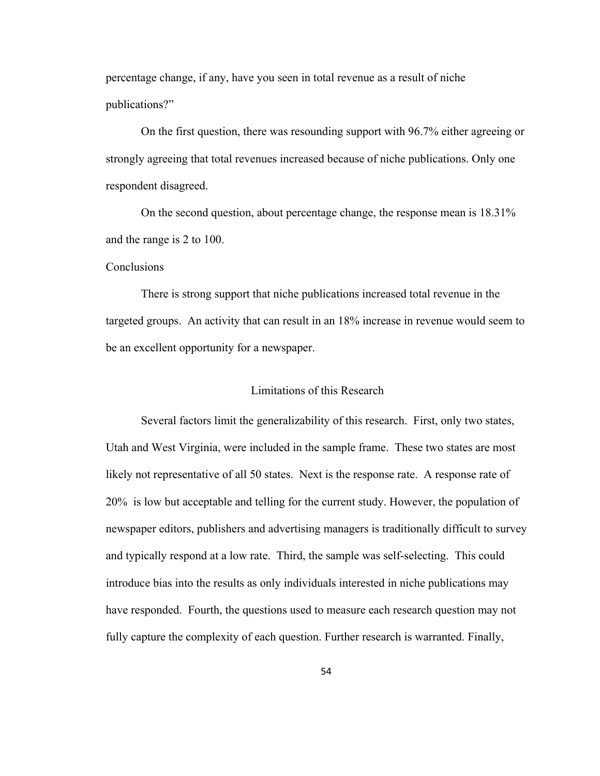percentage change, if any, have you seen in total revenue as a result of niche publications?"

On the first question, there was resounding support with 96.7% either agreeing or strongly agreeing that total revenues increased because of niche publications. Only one respondent disagreed.

On the second question, about percentage change, the response mean is 18.31% and the range is 2 to 100.

#### Conclusions

There is strong support that niche publications increased total revenue in the targeted groups. An activity that can result in an 18% increase in revenue would seem to be an excellent opportunity for a newspaper.

#### Limitations of this Research

Several factors limit the generalizability of this research. First, only two states, Utah and West Virginia, were included in the sample frame. These two states are most likely not representative of all 50 states. Next is the response rate. A response rate of 20% is low but acceptable and telling for the current study. However, the population of newspaper editors, publishers and advertising managers is traditionally difficult to survey and typically respond at a low rate. Third, the sample was self-selecting. This could introduce bias into the results as only individuals interested in niche publications may have responded. Fourth, the questions used to measure each research question may not fully capture the complexity of each question. Further research is warranted. Finally,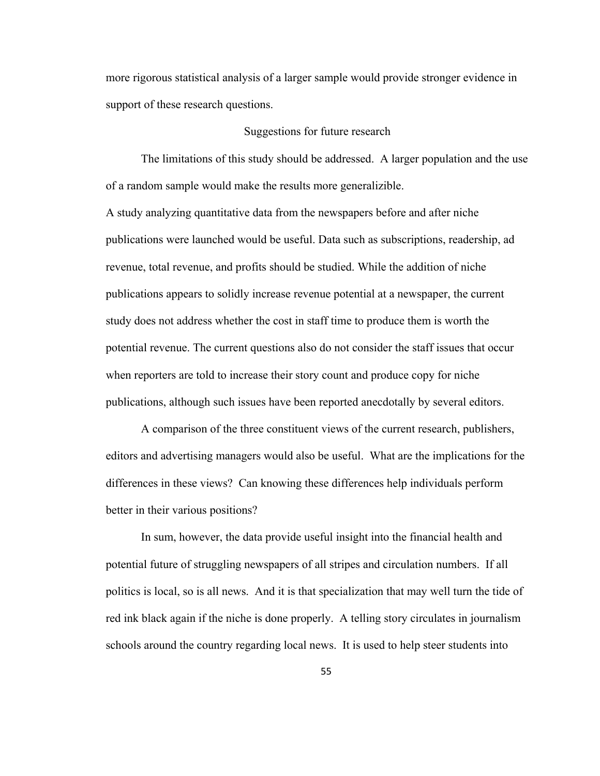more rigorous statistical analysis of a larger sample would provide stronger evidence in support of these research questions.

#### Suggestions for future research

The limitations of this study should be addressed. A larger population and the use of a random sample would make the results more generalizible.

A study analyzing quantitative data from the newspapers before and after niche publications were launched would be useful. Data such as subscriptions, readership, ad revenue, total revenue, and profits should be studied. While the addition of niche publications appears to solidly increase revenue potential at a newspaper, the current study does not address whether the cost in staff time to produce them is worth the potential revenue. The current questions also do not consider the staff issues that occur when reporters are told to increase their story count and produce copy for niche publications, although such issues have been reported anecdotally by several editors.

 A comparison of the three constituent views of the current research, publishers, editors and advertising managers would also be useful. What are the implications for the differences in these views? Can knowing these differences help individuals perform better in their various positions?

 In sum, however, the data provide useful insight into the financial health and potential future of struggling newspapers of all stripes and circulation numbers. If all politics is local, so is all news. And it is that specialization that may well turn the tide of red ink black again if the niche is done properly. A telling story circulates in journalism schools around the country regarding local news. It is used to help steer students into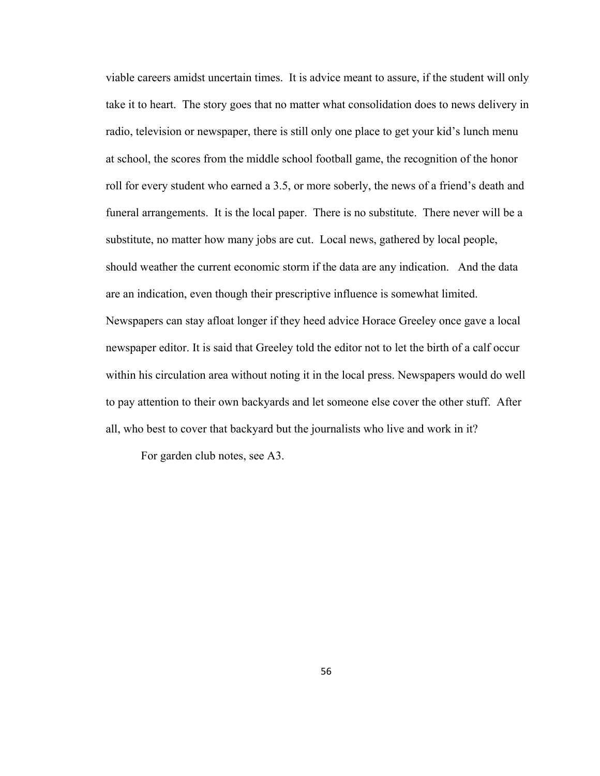viable careers amidst uncertain times. It is advice meant to assure, if the student will only take it to heart. The story goes that no matter what consolidation does to news delivery in radio, television or newspaper, there is still only one place to get your kid's lunch menu at school, the scores from the middle school football game, the recognition of the honor roll for every student who earned a 3.5, or more soberly, the news of a friend's death and funeral arrangements. It is the local paper. There is no substitute. There never will be a substitute, no matter how many jobs are cut. Local news, gathered by local people, should weather the current economic storm if the data are any indication. And the data are an indication, even though their prescriptive influence is somewhat limited. Newspapers can stay afloat longer if they heed advice Horace Greeley once gave a local newspaper editor. It is said that Greeley told the editor not to let the birth of a calf occur within his circulation area without noting it in the local press. Newspapers would do well to pay attention to their own backyards and let someone else cover the other stuff. After all, who best to cover that backyard but the journalists who live and work in it?

For garden club notes, see A3.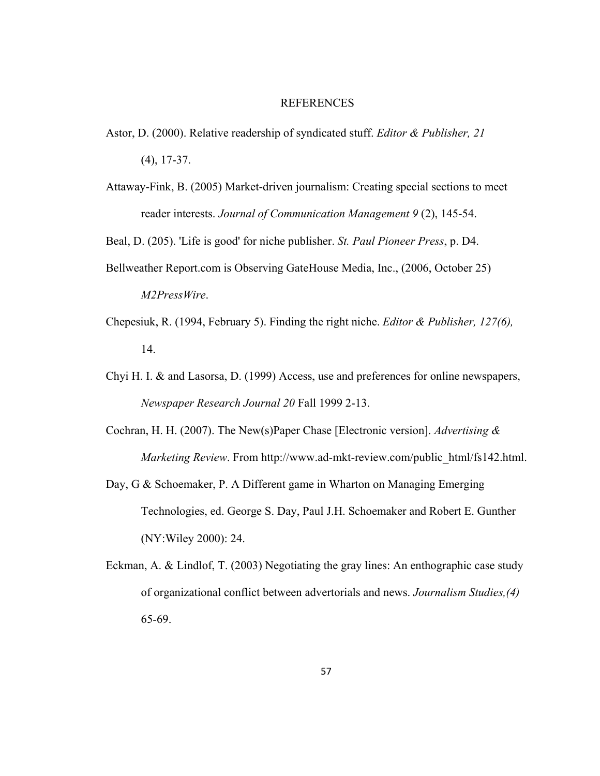#### REFERENCES

- Astor, D. (2000). Relative readership of syndicated stuff. *Editor & Publisher, 21*  (4), 17-37.
- Attaway-Fink, B. (2005) Market-driven journalism: Creating special sections to meet reader interests. *Journal of Communication Management 9* (2), 145-54.

Beal, D. (205). 'Life is good' for niche publisher. *St. Paul Pioneer Press*, p. D4.

- Bellweather Report.com is Observing GateHouse Media, Inc., (2006, October 25) *M2PressWire*.
- Chepesiuk, R. (1994, February 5). Finding the right niche. *Editor & Publisher, 127(6),*  14.
- Chyi H. I. & and Lasorsa, D. (1999) Access, use and preferences for online newspapers, *Newspaper Research Journal 20* Fall 1999 2-13.
- Cochran, H. H. (2007). The New(s)Paper Chase [Electronic version]. *Advertising & Marketing Review*. From http://www.ad-mkt-review.com/public\_html/fs142.html.
- Day, G & Schoemaker, P. A Different game in Wharton on Managing Emerging Technologies, ed. George S. Day, Paul J.H. Schoemaker and Robert E. Gunther (NY:Wiley 2000): 24.
- Eckman, A. & Lindlof, T. (2003) Negotiating the gray lines: An enthographic case study of organizational conflict between advertorials and news. *Journalism Studies,(4)*  65-69.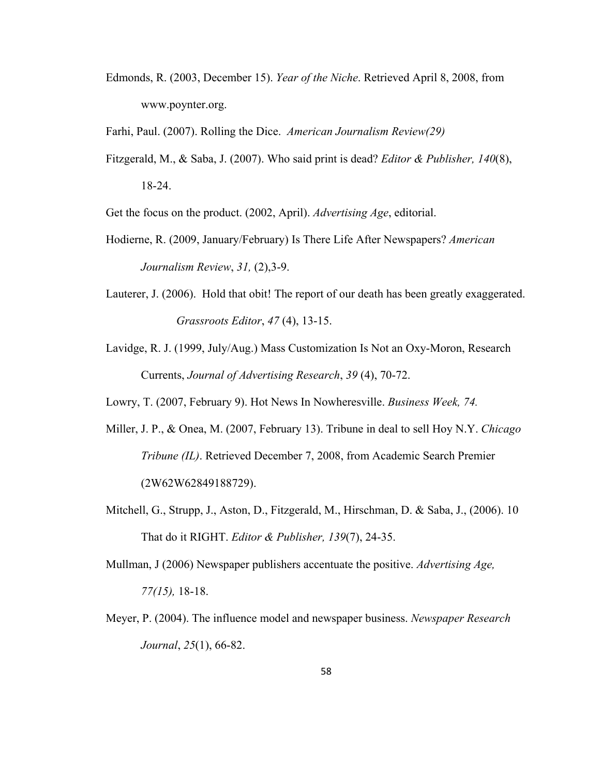Edmonds, R. (2003, December 15). *Year of the Niche*. Retrieved April 8, 2008, from www.poynter.org.

Farhi, Paul. (2007). Rolling the Dice. *American Journalism Review(29)* 

Fitzgerald, M., & Saba, J. (2007). Who said print is dead? *Editor & Publisher, 140*(8), 18-24.

Get the focus on the product. (2002, April). *Advertising Age*, editorial.

- Hodierne, R. (2009, January/February) Is There Life After Newspapers? *American Journalism Review*, *31,* (2),3-9.
- Lauterer, J. (2006). Hold that obit! The report of our death has been greatly exaggerated. *Grassroots Editor*, *47* (4), 13-15.
- Lavidge, R. J. (1999, July/Aug.) Mass Customization Is Not an Oxy-Moron, Research Currents, *Journal of Advertising Research*, *39* (4), 70-72.

Lowry, T. (2007, February 9). Hot News In Nowheresville. *Business Week, 74.* 

- Miller, J. P., & Onea, M. (2007, February 13). Tribune in deal to sell Hoy N.Y. *Chicago Tribune (IL)*. Retrieved December 7, 2008, from Academic Search Premier (2W62W62849188729).
- Mitchell, G., Strupp, J., Aston, D., Fitzgerald, M., Hirschman, D. & Saba, J., (2006). 10 That do it RIGHT. *Editor & Publisher, 139*(7), 24-35.

Mullman, J (2006) Newspaper publishers accentuate the positive. *Advertising Age, 77(15),* 18-18.

Meyer, P. (2004). The influence model and newspaper business. *Newspaper Research Journal*, *25*(1), 66-82.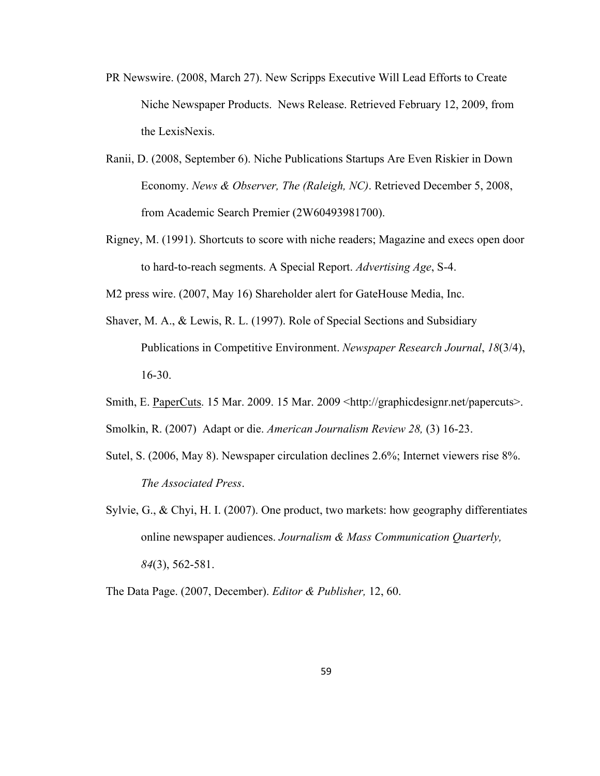- PR Newswire. (2008, March 27). New Scripps Executive Will Lead Efforts to Create Niche Newspaper Products. News Release. Retrieved February 12, 2009, from the LexisNexis.
- Ranii, D. (2008, September 6). Niche Publications Startups Are Even Riskier in Down Economy. *News & Observer, The (Raleigh, NC)*. Retrieved December 5, 2008, from Academic Search Premier (2W60493981700).
- Rigney, M. (1991). Shortcuts to score with niche readers; Magazine and execs open door to hard-to-reach segments. A Special Report. *Advertising Age*, S-4.

M2 press wire. (2007, May 16) Shareholder alert for GateHouse Media, Inc.

- Shaver, M. A., & Lewis, R. L. (1997). Role of Special Sections and Subsidiary Publications in Competitive Environment. *Newspaper Research Journal*, *18*(3/4), 16-30.
- Smith, E. PaperCuts. 15 Mar. 2009. 15 Mar. 2009 <http://graphicdesignr.net/papercuts>.

Smolkin, R. (2007) Adapt or die. *American Journalism Review 28,* (3) 16-23.

- Sutel, S. (2006, May 8). Newspaper circulation declines 2.6%; Internet viewers rise 8%. *The Associated Press*.
- Sylvie, G., & Chyi, H. I. (2007). One product, two markets: how geography differentiates online newspaper audiences. *Journalism & Mass Communication Quarterly, 84*(3), 562-581.

The Data Page. (2007, December). *Editor & Publisher,* 12, 60.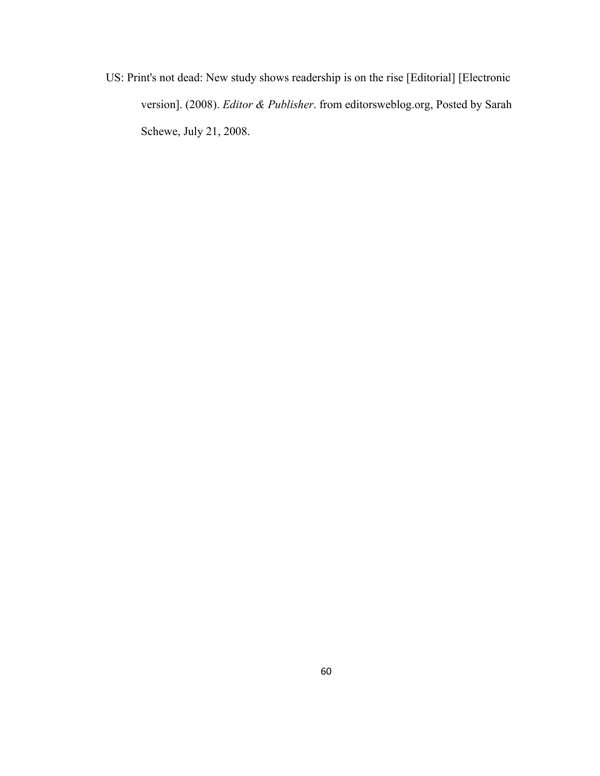US: Print's not dead: New study shows readership is on the rise [Editorial] [Electronic version]. (2008). *Editor & Publisher*. from editorsweblog.org, Posted by Sarah Schewe, July 21, 2008.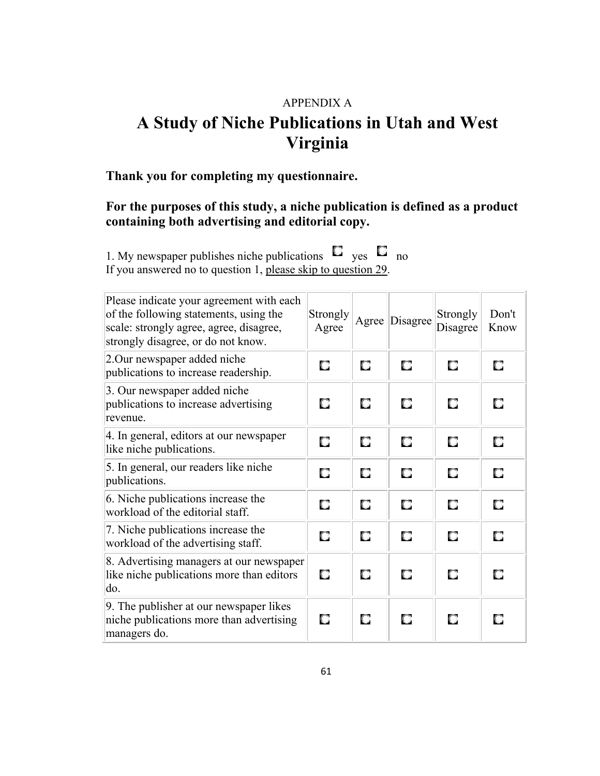# APPENDIX A

# **A Study of Niche Publications in Utah and West Virginia**

# **Thank you for completing my questionnaire.**

# **For the purposes of this study, a niche publication is defined as a product containing both advertising and editorial copy.**

1. My newspaper publishes niche publications  $\Box$  yes  $\Box$  no If you answered no to question 1, [please skip to question 29](http://rwe1.com/niche/#end).

| Please indicate your agreement with each<br>of the following statements, using the<br>scale: strongly agree, agree, disagree,<br>strongly disagree, or do not know. | <b>Strongly</b><br>Agree | Agree | Disagree | Strongly<br>Disagree | Don't<br>Know |
|---------------------------------------------------------------------------------------------------------------------------------------------------------------------|--------------------------|-------|----------|----------------------|---------------|
| 2. Our newspaper added niche<br>publications to increase readership.                                                                                                | О                        | О     | О        | О                    | П             |
| 3. Our newspaper added niche<br>publications to increase advertising<br>revenue.                                                                                    | О                        | О     | О        | О                    | О             |
| 4. In general, editors at our newspaper<br>like niche publications.                                                                                                 | О                        | О     | О        | О                    | О             |
| 5. In general, our readers like niche<br>publications.                                                                                                              | О                        | О     | Ω        | О                    | О             |
| 6. Niche publications increase the<br>workload of the editorial staff.                                                                                              | О                        | О     | О        | О                    | О             |
| 7. Niche publications increase the<br>workload of the advertising staff.                                                                                            | О                        | О     | О        | О                    | О             |
| 8. Advertising managers at our newspaper<br>like niche publications more than editors<br>do.                                                                        | О                        | О     | О        | О                    | О             |
| 9. The publisher at our newspaper likes<br>niche publications more than advertising<br>managers do.                                                                 | О                        | О     | О        | О                    | О             |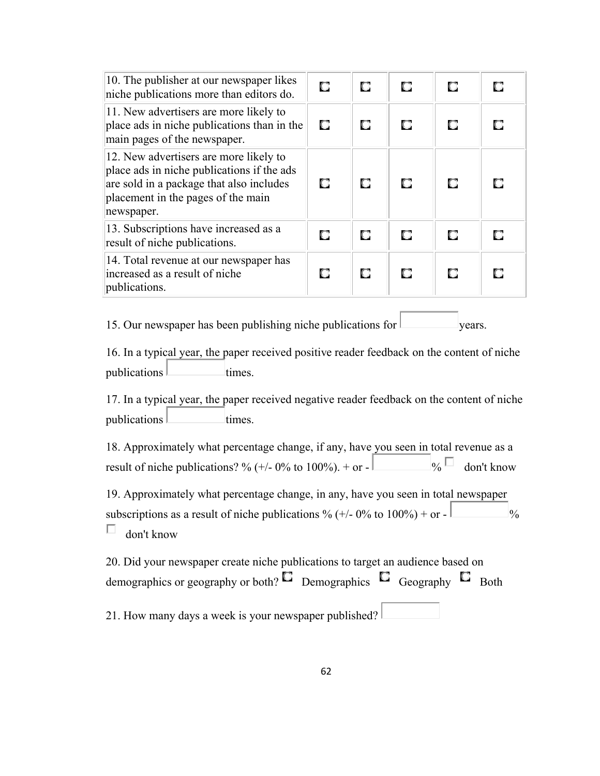| 10. The publisher at our newspaper likes<br>niche publications more than editors do.                                                                                                 | О  | О | О | О | О |
|--------------------------------------------------------------------------------------------------------------------------------------------------------------------------------------|----|---|---|---|---|
| 11. New advertisers are more likely to<br>place ads in niche publications than in the<br>main pages of the newspaper.                                                                | O. | О | О | О | O |
| 12. New advertisers are more likely to<br>place ads in niche publications if the ads<br>are sold in a package that also includes<br>placement in the pages of the main<br>newspaper. | O. | О | o | о | п |
| 13. Subscriptions have increased as a<br>result of niche publications.                                                                                                               | О  | О | О | О | О |
| 14. Total revenue at our newspaper has<br>increased as a result of niche<br>publications.                                                                                            | О  | О | О | О | О |

15. Our newspaper has been publishing niche publications for  $\vert$  vears.

16. In a typical year, the paper received positive reader feedback on the content of niche  $publications$  times.

17. In a typical year, the paper received negative reader feedback on the content of niche publications times.

18. Approximately what percentage change, if any, have you seen in total revenue as a result of niche publications? % (+/- 0% to 100%). + or -  $\Box$   $\Box$  don't know

19. Approximately what percentage change, in any, have you seen in total newspaper subscriptions as a result of niche publications % (+/- 0% to  $100\%$ ) + or -П don't know

20. Did your newspaper create niche publications to target an audience based on demographics or geography or both?  $\Box$  Demographics  $\Box$  Geography  $\Box$  Both 21. How many days a week is your newspaper published?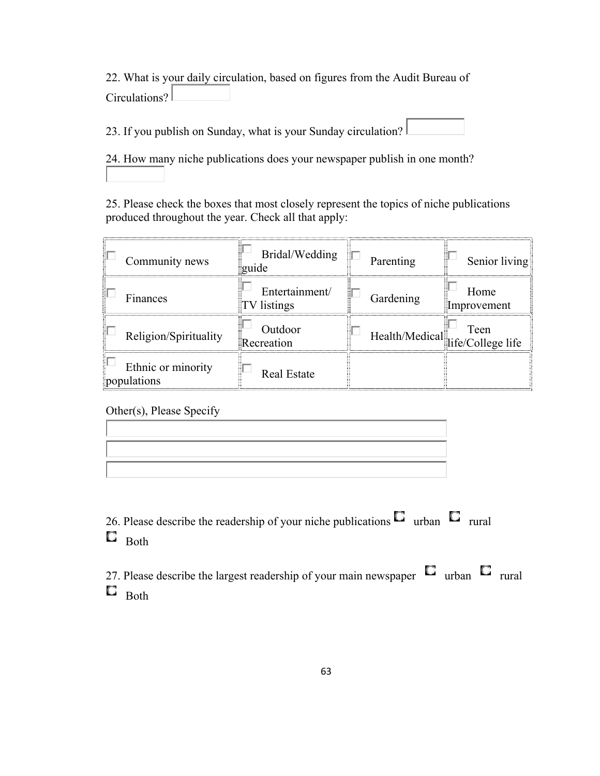22. What is your daily circulation, based on figures from the Audit Bureau of Circulations?

23. If you publish on Sunday, what is your Sunday circulation?

24. How many niche publications does your newspaper publish in one month?

25. Please check the boxes that most closely represent the topics of niche publications produced throughout the year. Check all that apply:

| Community news                    | Bridal/Wedding<br>guide       | Parenting | Senior living                            |
|-----------------------------------|-------------------------------|-----------|------------------------------------------|
| Finances                          | Entertainment/<br>TV listings | Gardening | Home<br>Improvement                      |
| Religion/Spirituality             | Outdoor<br>Recreation         |           | Teen<br>Health/Medical life/College life |
| Ethnic or minority<br>populations | <b>Real Estate</b>            |           |                                          |

Other(s), Please Specify

26. Please describe the readership of your niche publications  $\Box$  urban  $\Box$  rural  $\Box$  Both

27. Please describe the largest readership of your main newspaper  $\Box$  urban  $\Box$  rural  $\Box$  Both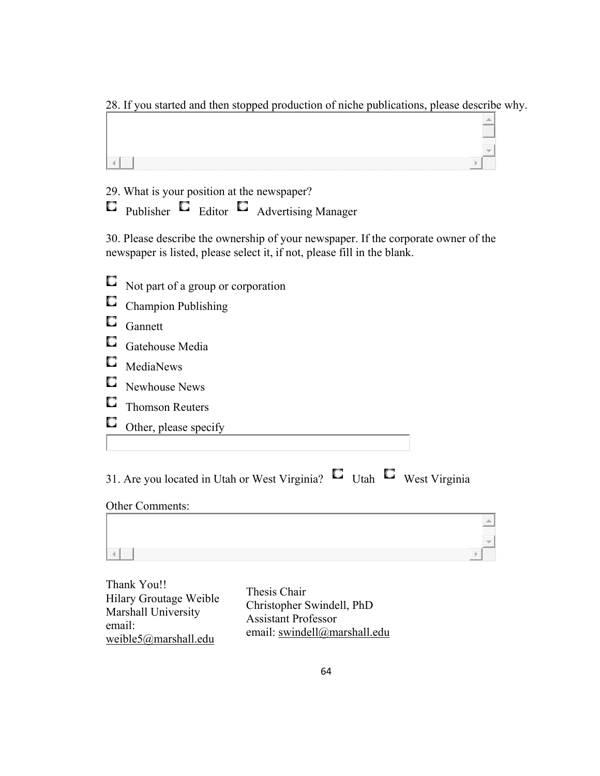28. If you started and then stopped production of niche publications, please describe why.

29. What is your position at the newspaper?

 $\Box$  Publisher  $\Box$  Editor  $\Box$  Advertising Manager

30. Please describe the ownership of your newspaper. If the corporate owner of the newspaper is listed, please select it, if not, please fill in the blank.

- Not part of a group or corporation
- C Champion Publishing
- $\Box$  Gannett
- Gatehouse Media
- $\square$  MediaNews
- Newhouse News
- **C** Thomson Reuters
- Other, please specify

| 31. Are you located in Utah or West Virginia? $\Box$ Utah $\Box$ West Virginia |  |  |
|--------------------------------------------------------------------------------|--|--|
|                                                                                |  |  |

## Other Comments:

| - |
|---|
|   |
|   |

| Thank You!!            |  |
|------------------------|--|
| Hilary Groutage Weible |  |
| Marshall University    |  |
| email:                 |  |
| weible5@marshall.edu   |  |

Thesis Chair Christopher Swindell, PhD Assistant Professor email: [swindell@marshall.edu](mailto:swindell@marshall.edu)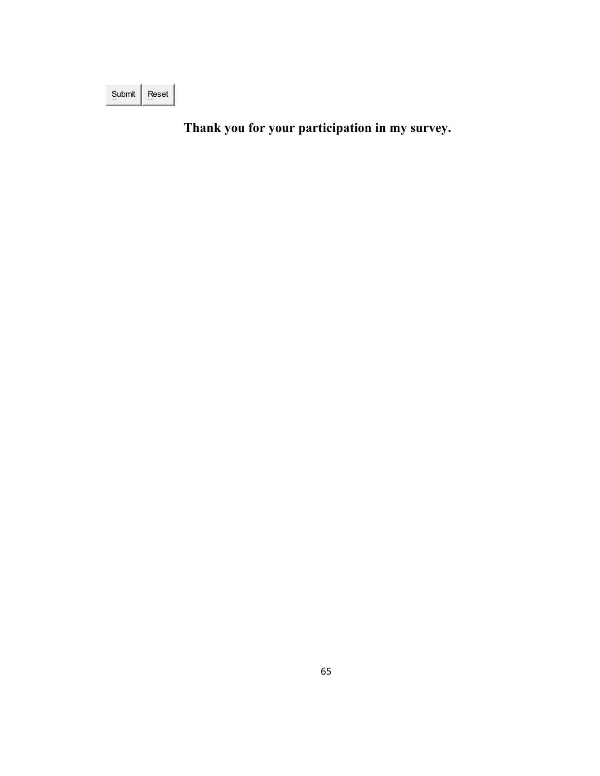| Submit | eset |
|--------|------|

**Thank you for your participation in my survey.**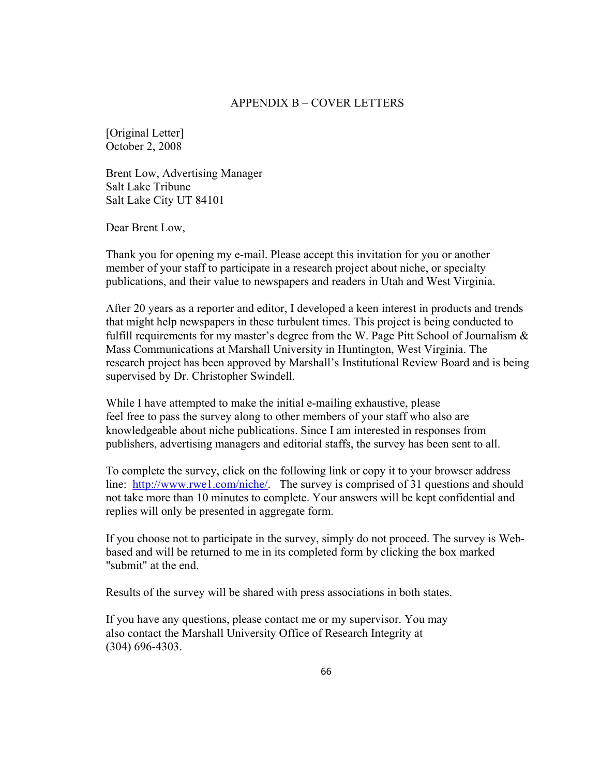## APPENDIX B – COVER LETTERS

[Original Letter] October 2, 2008

Brent Low, Advertising Manager Salt Lake Tribune Salt Lake City UT 84101

Dear Brent Low,

Thank you for opening my e-mail. Please accept this invitation for you or another member of your staff to participate in a research project about niche, or specialty publications, and their value to newspapers and readers in Utah and West Virginia.

After 20 years as a reporter and editor, I developed a keen interest in products and trends that might help newspapers in these turbulent times. This project is being conducted to fulfill requirements for my master's degree from the W. Page Pitt School of Journalism  $\&$ Mass Communications at Marshall University in Huntington, West Virginia. The research project has been approved by Marshall's Institutional Review Board and is being supervised by Dr. Christopher Swindell.

While I have attempted to make the initial e-mailing exhaustive, please feel free to pass the survey along to other members of your staff who also are knowledgeable about niche publications. Since I am interested in responses from publishers, advertising managers and editorial staffs, the survey has been sent to all.

To complete the survey, click on the following link or copy it to your browser address line: <http://www.rwe1.com/niche/>. The survey is comprised of 31 questions and should not take more than 10 minutes to complete. Your answers will be kept confidential and replies will only be presented in aggregate form.

If you choose not to participate in the survey, simply do not proceed. The survey is Webbased and will be returned to me in its completed form by clicking the box marked "submit" at the end.

Results of the survey will be shared with press associations in both states.

If you have any questions, please contact me or my supervisor. You may also contact the Marshall University Office of Research Integrity at (304) 696-4303.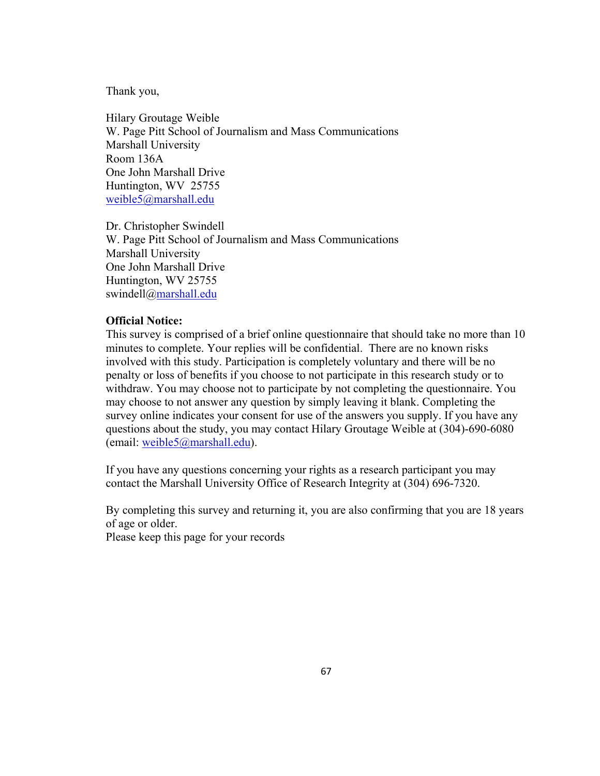Thank you,

Hilary Groutage Weible W. Page Pitt School of Journalism and Mass Communications Marshall University Room 136A One John Marshall Drive Huntington, WV 25755 [weible5@marshall.edu](mailto:weible5@marshall.edu)

Dr. Christopher Swindell W. Page Pitt School of Journalism and Mass Communications Marshall University One John Marshall Drive Huntington, WV 25755 swindell@marshall.edu

## **Official Notice:**

This survey is comprised of a brief online questionnaire that should take no more than 10 minutes to complete. Your replies will be confidential. There are no known risks involved with this study. Participation is completely voluntary and there will be no penalty or loss of benefits if you choose to not participate in this research study or to withdraw. You may choose not to participate by not completing the questionnaire. You may choose to not answer any question by simply leaving it blank. Completing the survey online indicates your consent for use of the answers you supply. If you have any questions about the study, you may contact Hilary Groutage Weible at (304)-690-6080 (email: [weible5@marshall.edu\)](mailto:weible5@marshall.edu).

If you have any questions concerning your rights as a research participant you may contact the Marshall University Office of Research Integrity at (304) 696-7320.

By completing this survey and returning it, you are also confirming that you are 18 years of age or older.

Please keep this page for your records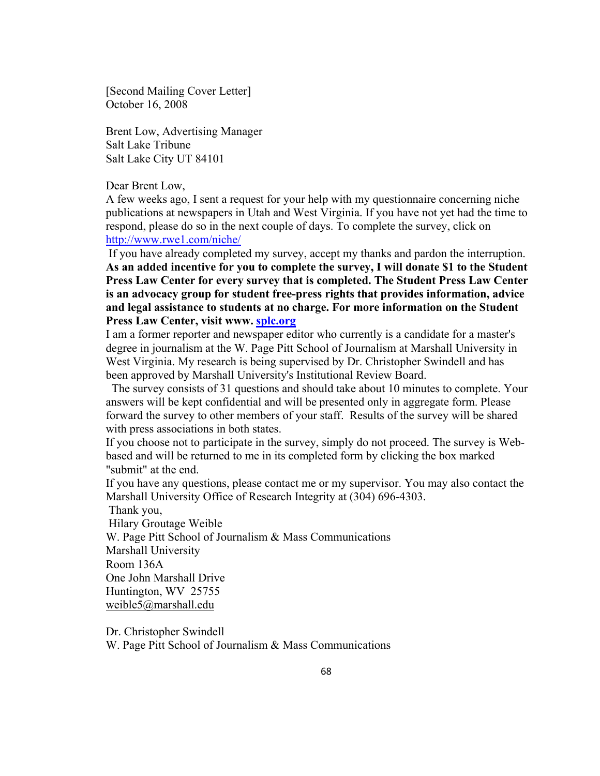[Second Mailing Cover Letter] October 16, 2008

Brent Low, Advertising Manager Salt Lake Tribune Salt Lake City UT 84101

Dear Brent Low,

A few weeks ago, I sent a request for your help with my questionnaire concerning niche publications at newspapers in Utah and West Virginia. If you have not yet had the time to respond, please do so in the next couple of days. To complete the survey, click on [http://www.rwe1.com/niche/](https://outlookweb.marshall.edu/owa/redir.aspx?C=6373f2ecd8574f27ac2446fab46c2f5f&URL=http%3a%2f%2fwww.rwe1.com%2fniche%2f) 

 If you have already completed my survey, accept my thanks and pardon the interruption. **As an added incentive for you to complete the survey, I will donate \$1 to the Student Press Law Center for every survey that is completed. The Student Press Law Center is an advocacy group for student free-press rights that provides information, advice and legal assistance to students at no charge. For more information on the Student Press Law Center, visit www. [splc.org](https://outlookweb.marshall.edu/owa/redir.aspx?C=6373f2ecd8574f27ac2446fab46c2f5f&URL=http%3a%2f%2fsplc.org)**

I am a former reporter and newspaper editor who currently is a candidate for a master's degree in journalism at the W. Page Pitt School of Journalism at Marshall University in West Virginia. My research is being supervised by Dr. Christopher Swindell and has been approved by Marshall University's Institutional Review Board.

 The survey consists of 31 questions and should take about 10 minutes to complete. Your answers will be kept confidential and will be presented only in aggregate form. Please forward the survey to other members of your staff. Results of the survey will be shared with press associations in both states.

If you choose not to participate in the survey, simply do not proceed. The survey is Webbased and will be returned to me in its completed form by clicking the box marked "submit" at the end.

If you have any questions, please contact me or my supervisor. You may also contact the Marshall University Office of Research Integrity at (304) 696-4303.

Thank you,

Hilary Groutage Weible

W. Page Pitt School of Journalism & Mass Communications

Marshall University

Room 136A

One John Marshall Drive

Huntington, WV 25755

[weible5@marshall.edu](https://outlookweb.marshall.edu/owa/redir.aspx?C=6373f2ecd8574f27ac2446fab46c2f5f&URL=mailto%3aweible5%40marshall.edu)

Dr. Christopher Swindell

W. Page Pitt School of Journalism & Mass Communications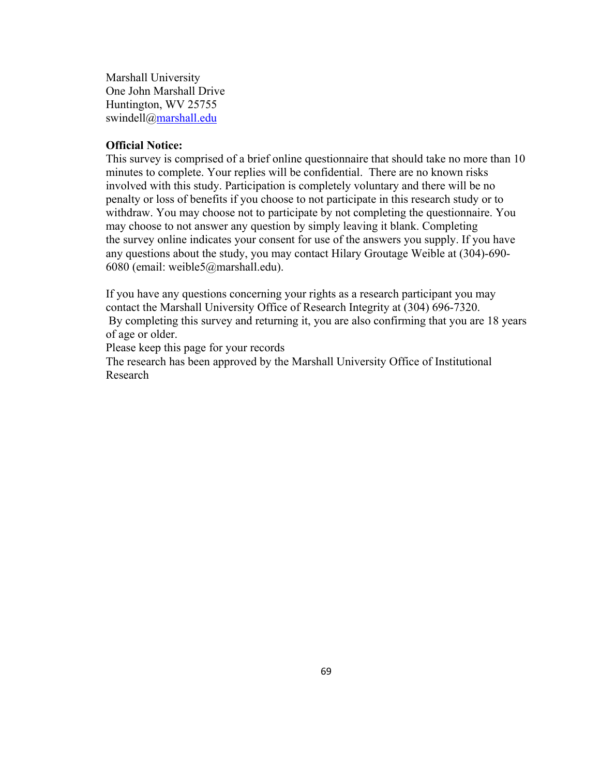Marshall University One John Marshall Drive Huntington, WV 25755 swindell@[marshall.edu](https://outlookweb.marshall.edu/owa/redir.aspx?C=6373f2ecd8574f27ac2446fab46c2f5f&URL=http%3a%2f%2fmarshall.edu%2f)

## **Official Notice:**

This survey is comprised of a brief online questionnaire that should take no more than 10 minutes to complete. Your replies will be confidential. There are no known risks involved with this study. Participation is completely voluntary and there will be no penalty or loss of benefits if you choose to not participate in this research study or to withdraw. You may choose not to participate by not completing the questionnaire. You may choose to not answer any question by simply leaving it blank. Completing the survey online indicates your consent for use of the answers you supply. If you have any questions about the study, you may contact Hilary Groutage Weible at (304)-690- 6080 (email: [weible5@marshall.edu\)](https://outlookweb.marshall.edu/owa/redir.aspx?C=6373f2ecd8574f27ac2446fab46c2f5f&URL=mailto%3aweible5%40marshall.edu).

If you have any questions concerning your rights as a research participant you may contact the Marshall University Office of Research Integrity at (304) 696-7320. By completing this survey and returning it, you are also confirming that you are 18 years of age or older.

Please keep this page for your records

The research has been approved by the Marshall University Office of Institutional Research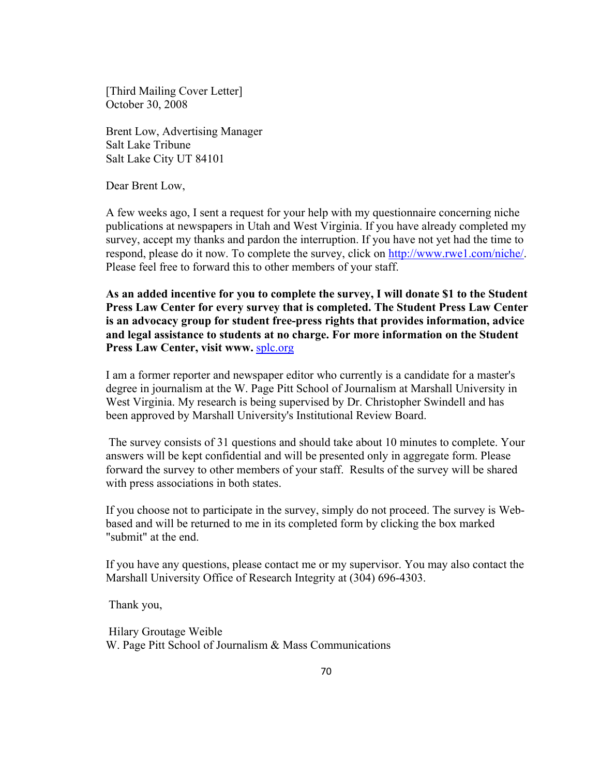[Third Mailing Cover Letter] October 30, 2008

Brent Low, Advertising Manager Salt Lake Tribune Salt Lake City UT 84101

Dear Brent Low,

A few weeks ago, I sent a request for your help with my questionnaire concerning niche publications at newspapers in Utah and West Virginia. If you have already completed my survey, accept my thanks and pardon the interruption. If you have not yet had the time to respond, please do it now. To complete the survey, click on [http://www.rwe1.com/niche/.](http://www.rwe1.com/niche/) Please feel free to forward this to other members of your staff.

**As an added incentive for you to complete the survey, I will donate \$1 to the Student Press Law Center for every survey that is completed. The Student Press Law Center is an advocacy group for student free-press rights that provides information, advice and legal assistance to students at no charge. For more information on the Student Press Law Center, visit www.** [splc.org](http://splc.org/)

I am a former reporter and newspaper editor who currently is a candidate for a master's degree in journalism at the W. Page Pitt School of Journalism at Marshall University in West Virginia. My research is being supervised by Dr. Christopher Swindell and has been approved by Marshall University's Institutional Review Board.

 The survey consists of 31 questions and should take about 10 minutes to complete. Your answers will be kept confidential and will be presented only in aggregate form. Please forward the survey to other members of your staff. Results of the survey will be shared with press associations in both states.

If you choose not to participate in the survey, simply do not proceed. The survey is Webbased and will be returned to me in its completed form by clicking the box marked "submit" at the end.

If you have any questions, please contact me or my supervisor. You may also contact the Marshall University Office of Research Integrity at (304) 696-4303.

Thank you,

 Hilary Groutage Weible W. Page Pitt School of Journalism & Mass Communications